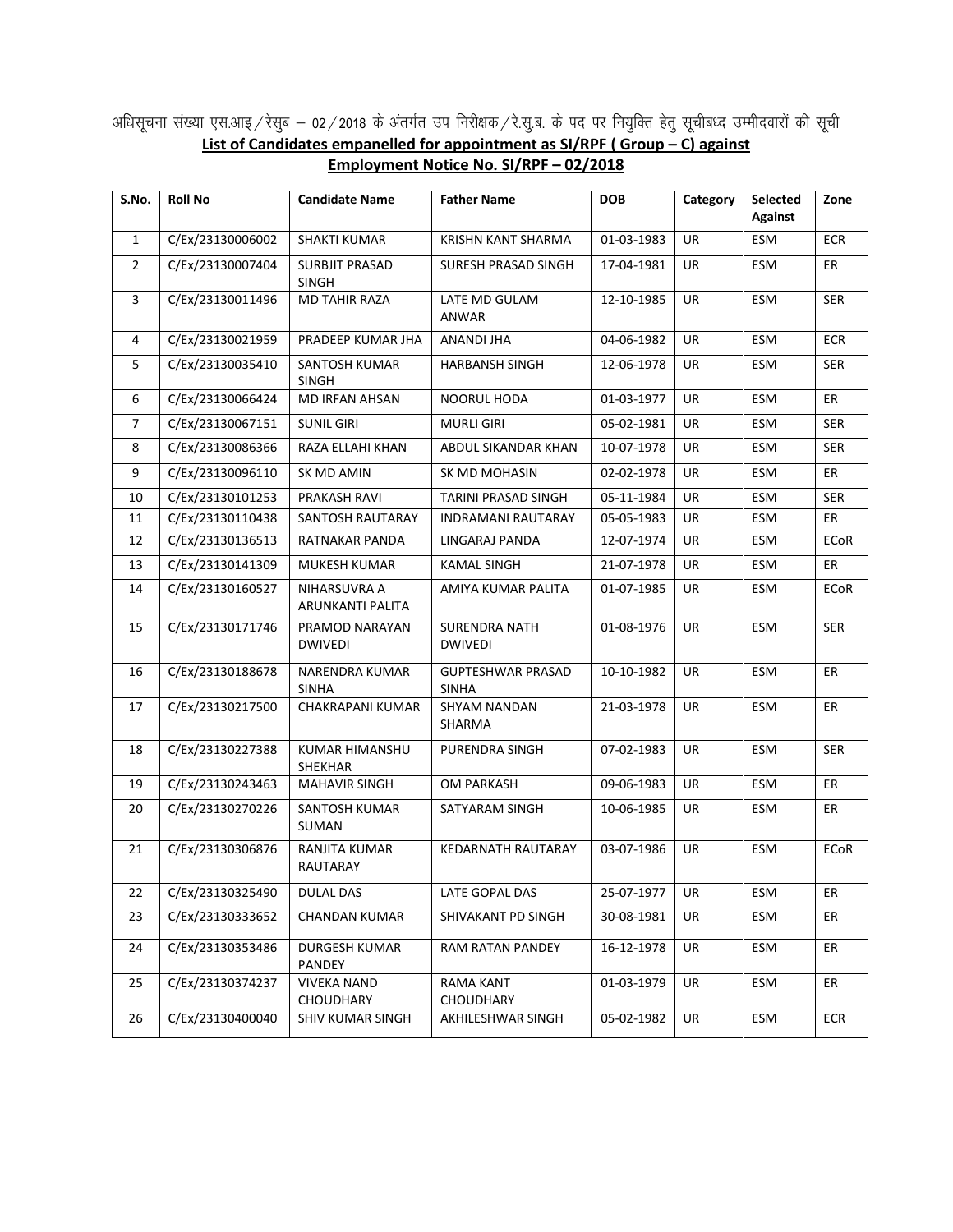## <u>अधिसूचना संख्या एस.आइ / रेसुब – 02 / 2018 के अंतर्गत उप निरीक्षक / रे.सु.ब. के पद पर नियुक्ति हेतु सूचीबध्द उम्मीदवारों की सूची</u> **List of Candidates empanelled for appointment as SI/RPF ( Group – C) against Employment Notice No. SI/RPF – 02/2018**

| S.No.          | <b>Roll No</b>   | <b>Candidate Name</b>                 | <b>Father Name</b>                       | <b>DOB</b> | Category  | <b>Selected</b><br><b>Against</b> | Zone        |
|----------------|------------------|---------------------------------------|------------------------------------------|------------|-----------|-----------------------------------|-------------|
| $\mathbf{1}$   | C/Ex/23130006002 | <b>SHAKTI KUMAR</b>                   | KRISHN KANT SHARMA                       | 01-03-1983 | UR.       | ESM                               | <b>ECR</b>  |
| 2              | C/Ex/23130007404 | <b>SURBJIT PRASAD</b><br><b>SINGH</b> | SURESH PRASAD SINGH                      | 17-04-1981 | UR        | ESM                               | ER          |
| 3              | C/Ex/23130011496 | MD TAHIR RAZA                         | LATE MD GULAM<br>ANWAR                   | 12-10-1985 | <b>UR</b> | ESM                               | <b>SER</b>  |
| 4              | C/Ex/23130021959 | PRADEEP KUMAR JHA                     | ANANDI JHA                               | 04-06-1982 | <b>UR</b> | ESM                               | <b>ECR</b>  |
| 5              | C/Ex/23130035410 | SANTOSH KUMAR<br><b>SINGH</b>         | <b>HARBANSH SINGH</b>                    | 12-06-1978 | UR        | ESM                               | <b>SER</b>  |
| 6              | C/Ex/23130066424 | <b>MD IRFAN AHSAN</b>                 | NOORUL HODA                              | 01-03-1977 | <b>UR</b> | ESM                               | ER          |
| $\overline{7}$ | C/Ex/23130067151 | <b>SUNIL GIRI</b>                     | <b>MURLI GIRI</b>                        | 05-02-1981 | UR        | ESM                               | <b>SER</b>  |
| 8              | C/Ex/23130086366 | RAZA ELLAHI KHAN                      | ABDUL SIKANDAR KHAN                      | 10-07-1978 | UR        | ESM                               | SER         |
| 9              | C/Ex/23130096110 | SK MD AMIN                            | SK MD MOHASIN                            | 02-02-1978 | UR        | ESM                               | ER          |
| 10             | C/Ex/23130101253 | PRAKASH RAVI                          | <b>TARINI PRASAD SINGH</b>               | 05-11-1984 | <b>UR</b> | ESM                               | <b>SER</b>  |
| 11             | C/Ex/23130110438 | SANTOSH RAUTARAY                      | <b>INDRAMANI RAUTARAY</b>                | 05-05-1983 | <b>UR</b> | <b>ESM</b>                        | ER          |
| 12             | C/Ex/23130136513 | RATNAKAR PANDA                        | LINGARAJ PANDA                           | 12-07-1974 | UR        | ESM                               | ECoR        |
| 13             | C/Ex/23130141309 | <b>MUKESH KUMAR</b>                   | KAMAL SINGH                              | 21-07-1978 | <b>UR</b> | <b>ESM</b>                        | ER          |
| 14             | C/Ex/23130160527 | NIHARSUVRA A<br>ARUNKANTI PALITA      | AMIYA KUMAR PALITA                       | 01-07-1985 | UR.       | ESM                               | <b>ECoR</b> |
| 15             | C/Ex/23130171746 | PRAMOD NARAYAN<br><b>DWIVEDI</b>      | <b>SURENDRA NATH</b><br><b>DWIVEDI</b>   | 01-08-1976 | <b>UR</b> | ESM                               | <b>SER</b>  |
| 16             | C/Ex/23130188678 | NARENDRA KUMAR<br><b>SINHA</b>        | <b>GUPTESHWAR PRASAD</b><br><b>SINHA</b> | 10-10-1982 | <b>UR</b> | ESM                               | ER          |
| 17             | C/Ex/23130217500 | CHAKRAPANI KUMAR                      | SHYAM NANDAN<br>SHARMA                   | 21-03-1978 | <b>UR</b> | ESM                               | <b>ER</b>   |
| 18             | C/Ex/23130227388 | KUMAR HIMANSHU<br><b>SHEKHAR</b>      | PURENDRA SINGH                           | 07-02-1983 | <b>UR</b> | ESM                               | <b>SER</b>  |
| 19             | C/Ex/23130243463 | <b>MAHAVIR SINGH</b>                  | OM PARKASH                               | 09-06-1983 | UR        | ESM                               | ER          |
| 20             | C/Ex/23130270226 | SANTOSH KUMAR<br>SUMAN                | SATYARAM SINGH                           | 10-06-1985 | <b>UR</b> | <b>ESM</b>                        | ER          |
| 21             | C/Ex/23130306876 | RANJITA KUMAR<br>RAUTARAY             | KEDARNATH RAUTARAY                       | 03-07-1986 | <b>UR</b> | ESM                               | <b>ECoR</b> |
| 22             | C/Ex/23130325490 | <b>DULAL DAS</b>                      | LATE GOPAL DAS                           | 25-07-1977 | UR        | ESM                               | ER          |
| 23             | C/Ex/23130333652 | <b>CHANDAN KUMAR</b>                  | SHIVAKANT PD SINGH                       | 30-08-1981 | UR        | ESM                               | ER          |
| 24             | C/Ex/23130353486 | DURGESH KUMAR<br>PANDEY               | RAM RATAN PANDEY                         | 16-12-1978 | UR        | ESM                               | ER          |
| 25             | C/Ex/23130374237 | <b>VIVEKA NAND</b><br>CHOUDHARY       | RAMA KANT<br>CHOUDHARY                   | 01-03-1979 | UR        | ESM                               | ER          |
| 26             | C/Ex/23130400040 | SHIV KUMAR SINGH                      | AKHILESHWAR SINGH                        | 05-02-1982 | UR        | ESM                               | <b>ECR</b>  |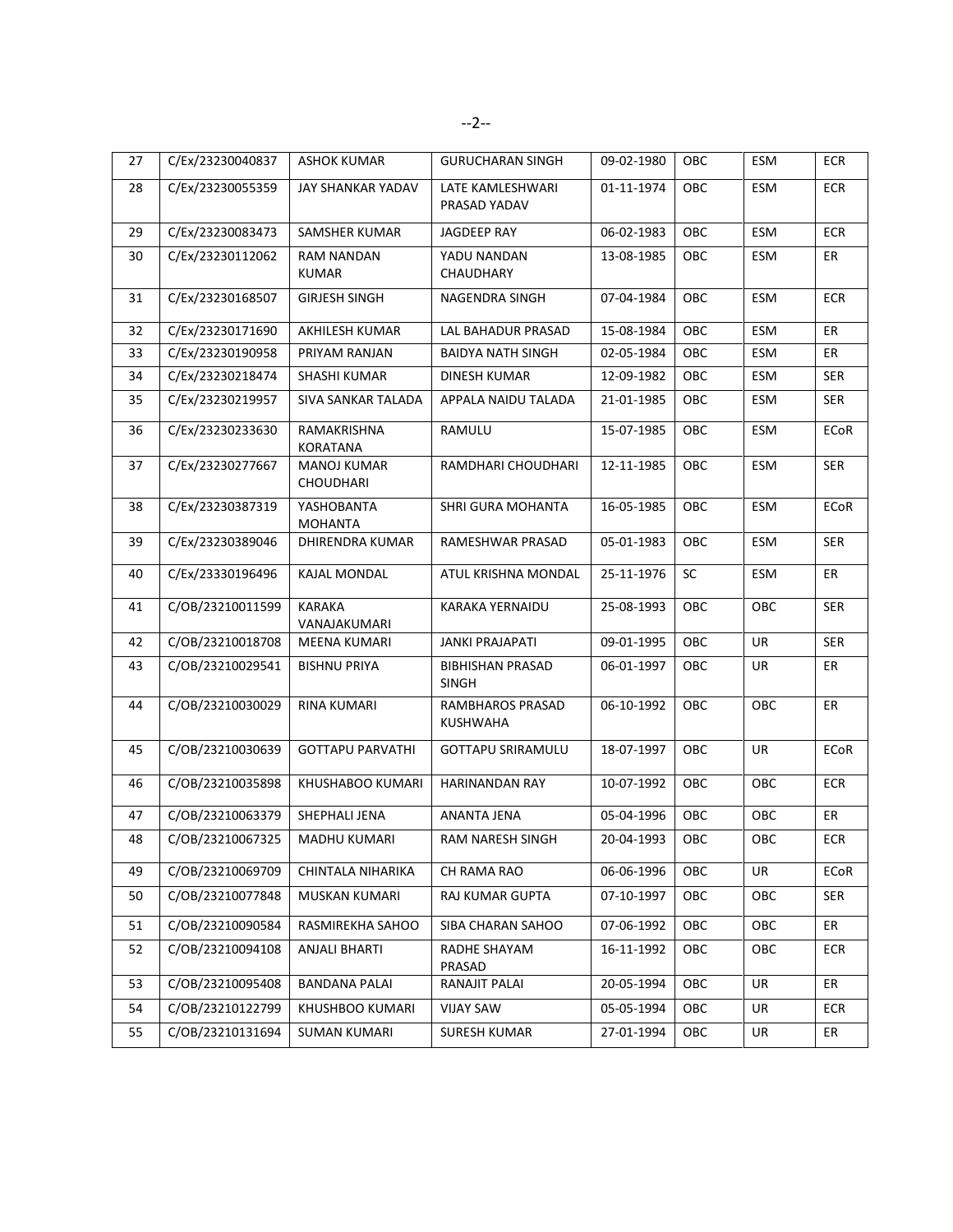| 27 | C/Ex/23230040837 | <b>ASHOK KUMAR</b>             | <b>GURUCHARAN SINGH</b>                 | 09-02-1980 | OBC | ESM        | ECR         |
|----|------------------|--------------------------------|-----------------------------------------|------------|-----|------------|-------------|
| 28 | C/Ex/23230055359 | JAY SHANKAR YADAV              | LATE KAMLESHWARI<br>PRASAD YADAV        | 01-11-1974 | OBC | ESM        | <b>ECR</b>  |
| 29 | C/Ex/23230083473 | SAMSHER KUMAR                  | JAGDEEP RAY                             | 06-02-1983 | OBC | ESM        | <b>ECR</b>  |
| 30 | C/Ex/23230112062 | <b>RAM NANDAN</b><br>KUMAR     | YADU NANDAN<br>CHAUDHARY                | 13-08-1985 | OBC | ESM        | ER          |
| 31 | C/Ex/23230168507 | <b>GIRJESH SINGH</b>           | NAGENDRA SINGH                          | 07-04-1984 | OBC | ESM        | <b>ECR</b>  |
| 32 | C/Ex/23230171690 | AKHILESH KUMAR                 | LAL BAHADUR PRASAD                      | 15-08-1984 | OBC | <b>ESM</b> | <b>ER</b>   |
| 33 | C/Ex/23230190958 | PRIYAM RANJAN                  | <b>BAIDYA NATH SINGH</b>                | 02-05-1984 | OBC | ESM        | ER          |
| 34 | C/Ex/23230218474 | SHASHI KUMAR                   | DINESH KUMAR                            | 12-09-1982 | OBC | ESM        | <b>SER</b>  |
| 35 | C/Ex/23230219957 | SIVA SANKAR TALADA             | APPALA NAIDU TALADA                     | 21-01-1985 | OBC | ESM        | <b>SER</b>  |
| 36 | C/Ex/23230233630 | RAMAKRISHNA<br><b>KORATANA</b> | RAMULU                                  | 15-07-1985 | OBC | ESM        | <b>ECoR</b> |
| 37 | C/Ex/23230277667 | MANOJ KUMAR<br>CHOUDHARI       | RAMDHARI CHOUDHARI                      | 12-11-1985 | OBC | ESM        | <b>SER</b>  |
| 38 | C/Ex/23230387319 | YASHOBANTA<br><b>MOHANTA</b>   | SHRI GURA MOHANTA                       | 16-05-1985 | OBC | ESM        | <b>ECoR</b> |
| 39 | C/Ex/23230389046 | DHIRENDRA KUMAR                | RAMESHWAR PRASAD                        | 05-01-1983 | OBC | ESM        | <b>SER</b>  |
| 40 | C/Ex/23330196496 | <b>KAJAL MONDAL</b>            | ATUL KRISHNA MONDAL                     | 25-11-1976 | SC  | <b>ESM</b> | ER          |
| 41 | C/OB/23210011599 | <b>KARAKA</b><br>VANAJAKUMARI  | KARAKA YERNAIDU                         | 25-08-1993 | OBC | OBC        | <b>SER</b>  |
| 42 | C/OB/23210018708 | MEENA KUMARI                   | <b>JANKI PRAJAPATI</b>                  | 09-01-1995 | OBC | UR         | <b>SER</b>  |
| 43 | C/OB/23210029541 | <b>BISHNU PRIYA</b>            | <b>BIBHISHAN PRASAD</b><br><b>SINGH</b> | 06-01-1997 | OBC | <b>UR</b>  | ER          |
| 44 | C/OB/23210030029 | <b>RINA KUMARI</b>             | RAMBHAROS PRASAD<br>KUSHWAHA            | 06-10-1992 | OBC | OBC        | ER          |
| 45 | C/OB/23210030639 | <b>GOTTAPU PARVATHI</b>        | <b>GOTTAPU SRIRAMULU</b>                | 18-07-1997 | OBC | <b>UR</b>  | <b>ECoR</b> |
| 46 | C/OB/23210035898 | KHUSHABOO KUMARI               | HARINANDAN RAY                          | 10-07-1992 | OBC | OBC        | <b>ECR</b>  |
| 47 | C/OB/23210063379 | SHEPHALI JENA                  | ANANTA JENA                             | 05-04-1996 | OBC | OBC        | ER          |
| 48 | C/OB/23210067325 | MADHU KUMARI                   | RAM NARESH SINGH                        | 20-04-1993 | OBC | OBC        | ECR         |
| 49 | C/OB/23210069709 | CHINTALA NIHARIKA              | CH RAMA RAO                             | 06-06-1996 | OBC | <b>UR</b>  | ECoR        |
| 50 | C/OB/23210077848 | MUSKAN KUMARI                  | RAJ KUMAR GUPTA                         | 07-10-1997 | OBC | OBC        | <b>SER</b>  |
| 51 | C/OB/23210090584 | RASMIREKHA SAHOO               | SIBA CHARAN SAHOO                       | 07-06-1992 | OBC | OBC        | ER          |
| 52 | C/OB/23210094108 | <b>ANJALI BHARTI</b>           | RADHE SHAYAM<br>PRASAD                  | 16-11-1992 | OBC | OBC        | <b>ECR</b>  |
| 53 | C/OB/23210095408 | <b>BANDANA PALAI</b>           | RANAJIT PALAI                           | 20-05-1994 | OBC | UR         | ER          |
| 54 | C/OB/23210122799 | KHUSHBOO KUMARI                | <b>VIJAY SAW</b>                        | 05-05-1994 | OBC | UR         | ECR         |
| 55 | C/OB/23210131694 | <b>SUMAN KUMARI</b>            | SURESH KUMAR                            | 27-01-1994 | OBC | UR         | ER          |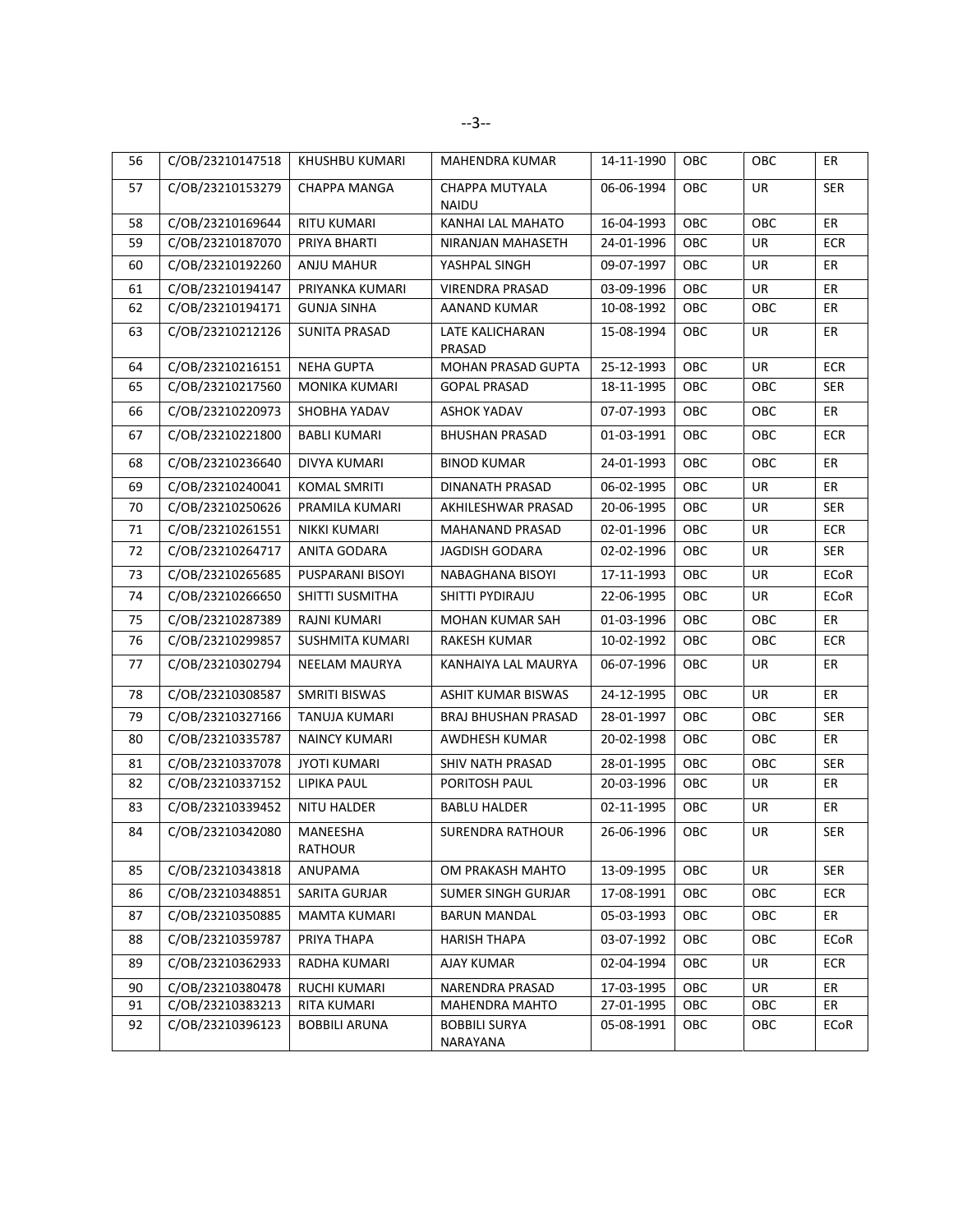| 56 | C/OB/23210147518 | KHUSHBU KUMARI       | <b>MAHENDRA KUMAR</b>            | 14-11-1990 | OBC        | OBC        | ER          |
|----|------------------|----------------------|----------------------------------|------------|------------|------------|-------------|
| 57 | C/OB/23210153279 | CHAPPA MANGA         | CHAPPA MUTYALA<br><b>NAIDU</b>   | 06-06-1994 | OBC        | UR         | <b>SER</b>  |
| 58 | C/OB/23210169644 | <b>RITU KUMARI</b>   | KANHAI LAL MAHATO                | 16-04-1993 | OBC        | OBC        | ER          |
| 59 | C/OB/23210187070 | PRIYA BHARTI         | NIRANJAN MAHASETH                | 24-01-1996 | ОВС        | UR         | <b>ECR</b>  |
| 60 | C/OB/23210192260 | ANJU MAHUR           | YASHPAL SINGH                    | 09-07-1997 | OBC        | UR         | ER          |
| 61 | C/OB/23210194147 | PRIYANKA KUMARI      | VIRENDRA PRASAD                  | 03-09-1996 | OBC        | UR         | ER          |
| 62 | C/OB/23210194171 | <b>GUNJA SINHA</b>   | AANAND KUMAR                     | 10-08-1992 | OBC        | OBC        | ER          |
| 63 | C/OB/23210212126 | <b>SUNITA PRASAD</b> | LATE KALICHARAN<br>PRASAD        | 15-08-1994 | <b>OBC</b> | UR         | ER          |
| 64 | C/OB/23210216151 | <b>NEHA GUPTA</b>    | <b>MOHAN PRASAD GUPTA</b>        | 25-12-1993 | OBC        | <b>UR</b>  | <b>ECR</b>  |
| 65 | C/OB/23210217560 | MONIKA KUMARI        | <b>GOPAL PRASAD</b>              | 18-11-1995 | OBC        | OBC        | <b>SER</b>  |
| 66 | C/OB/23210220973 | SHOBHA YADAV         | <b>ASHOK YADAV</b>               | 07-07-1993 | ОВС        | <b>OBC</b> | ER          |
| 67 | C/OB/23210221800 | <b>BABLI KUMARI</b>  | <b>BHUSHAN PRASAD</b>            | 01-03-1991 | OBC        | OBC        | <b>ECR</b>  |
| 68 | C/OB/23210236640 | DIVYA KUMARI         | <b>BINOD KUMAR</b>               | 24-01-1993 | OBC        | OBC        | ER          |
| 69 | C/OB/23210240041 | KOMAL SMRITI         | <b>DINANATH PRASAD</b>           | 06-02-1995 | OBC        | UR         | ER          |
| 70 | C/OB/23210250626 | PRAMILA KUMARI       | AKHILESHWAR PRASAD               | 20-06-1995 | OBC        | <b>UR</b>  | <b>SER</b>  |
| 71 | C/OB/23210261551 | <b>NIKKI KUMARI</b>  | <b>MAHANAND PRASAD</b>           | 02-01-1996 | OBC        | <b>UR</b>  | <b>ECR</b>  |
| 72 | C/OB/23210264717 | ANITA GODARA         | <b>JAGDISH GODARA</b>            | 02-02-1996 | OBC        | UR         | <b>SER</b>  |
| 73 | C/OB/23210265685 | PUSPARANI BISOYI     | NABAGHANA BISOYI                 | 17-11-1993 | OBC        | UR         | <b>ECoR</b> |
| 74 | C/OB/23210266650 | SHITTI SUSMITHA      | SHITTI PYDIRAJU                  | 22-06-1995 | OBC        | UR         | ECoR        |
| 75 | C/OB/23210287389 | RAJNI KUMARI         | MOHAN KUMAR SAH                  | 01-03-1996 | OBC        | OBC        | ER          |
| 76 | C/OB/23210299857 | SUSHMITA KUMARI      | <b>RAKESH KUMAR</b>              | 10-02-1992 | OBC        | <b>OBC</b> | <b>ECR</b>  |
| 77 | C/OB/23210302794 | NEELAM MAURYA        | KANHAIYA LAL MAURYA              | 06-07-1996 | OBC        | UR         | ER          |
| 78 | C/OB/23210308587 | <b>SMRITI BISWAS</b> | ASHIT KUMAR BISWAS               | 24-12-1995 | OBC        | UR         | ER          |
| 79 | C/OB/23210327166 | TANUJA KUMARI        | <b>BRAJ BHUSHAN PRASAD</b>       | 28-01-1997 | OBC        | OBC        | <b>SER</b>  |
| 80 | C/OB/23210335787 | <b>NAINCY KUMARI</b> | AWDHESH KUMAR                    | 20-02-1998 | OBC        | OBC        | ER          |
| 81 | C/OB/23210337078 | <b>JYOTI KUMARI</b>  | SHIV NATH PRASAD                 | 28-01-1995 | OBC        | OBC        | <b>SER</b>  |
| 82 | C/OB/23210337152 | <b>LIPIKA PAUL</b>   | PORITOSH PAUL                    | 20-03-1996 | OBC        | UR         | ER          |
| 83 | C/OB/23210339452 | <b>NITU HALDER</b>   | <b>BABLU HALDER</b>              | 02-11-1995 | OBC        | UR         | ER          |
| 84 | C/OB/23210342080 | MANEESHA<br>RATHOUR  | <b>SURENDRA RATHOUR</b>          | 26-06-1996 | ОВС        | UR         | <b>SER</b>  |
| 85 | C/OB/23210343818 | ANUPAMA              | OM PRAKASH MAHTO                 | 13-09-1995 | OBC        | <b>UR</b>  | <b>SER</b>  |
| 86 | C/OB/23210348851 | SARITA GURJAR        | SUMER SINGH GURJAR               | 17-08-1991 | OBC        | OBC        | ECR         |
| 87 | C/OB/23210350885 | MAMTA KUMARI         | <b>BARUN MANDAL</b>              | 05-03-1993 | OBC        | OBC        | ER          |
| 88 | C/OB/23210359787 | PRIYA THAPA          | <b>HARISH THAPA</b>              | 03-07-1992 | OBC        | OBC        | ECoR        |
| 89 | C/OB/23210362933 | RADHA KUMARI         | AJAY KUMAR                       | 02-04-1994 | OBC        | UR         | ECR         |
| 90 | C/OB/23210380478 | <b>RUCHI KUMARI</b>  | NARENDRA PRASAD                  | 17-03-1995 | OBC        | UR         | ER          |
| 91 | C/OB/23210383213 | RITA KUMARI          | <b>MAHENDRA MAHTO</b>            | 27-01-1995 | OBC        | OBC        | ER          |
| 92 | C/OB/23210396123 | <b>BOBBILI ARUNA</b> | <b>BOBBILI SURYA</b><br>NARAYANA | 05-08-1991 | OBC        | OBC        | ECoR        |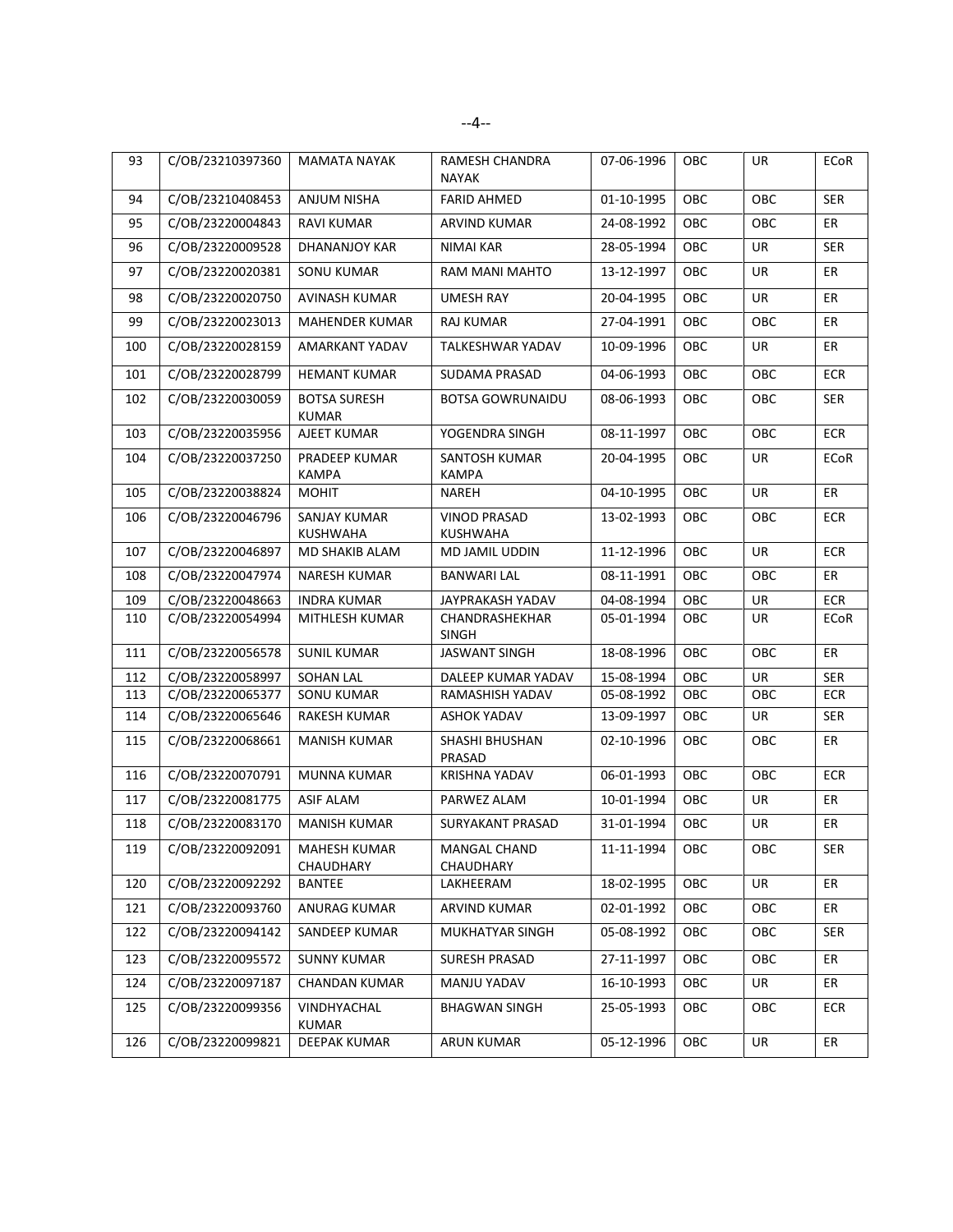| 93  | C/OB/23210397360 | <b>MAMATA NAYAK</b>                 | RAMESH CHANDRA<br><b>NAYAK</b>         | 07-06-1996 | OBC        | UR        | ECoR        |
|-----|------------------|-------------------------------------|----------------------------------------|------------|------------|-----------|-------------|
| 94  | C/OB/23210408453 | ANJUM NISHA                         | <b>FARID AHMED</b>                     | 01-10-1995 | OBC        | OBC       | <b>SER</b>  |
| 95  | C/OB/23220004843 | <b>RAVI KUMAR</b>                   | <b>ARVIND KUMAR</b>                    | 24-08-1992 | OBC        | OBC       | ER          |
| 96  | C/OB/23220009528 | DHANANJOY KAR                       | <b>NIMAI KAR</b>                       | 28-05-1994 | OBC        | <b>UR</b> | <b>SER</b>  |
| 97  | C/OB/23220020381 | <b>SONU KUMAR</b>                   | RAM MANI MAHTO                         | 13-12-1997 | OBC        | UR        | ER          |
| 98  | C/OB/23220020750 | <b>AVINASH KUMAR</b>                | <b>UMESH RAY</b>                       | 20-04-1995 | OBC        | UR        | ER          |
| 99  | C/OB/23220023013 | <b>MAHENDER KUMAR</b>               | <b>RAJ KUMAR</b>                       | 27-04-1991 | OBC        | OBC       | ER          |
| 100 | C/OB/23220028159 | AMARKANT YADAV                      | TALKESHWAR YADAV                       | 10-09-1996 | OBC        | UR        | ER          |
| 101 | C/OB/23220028799 | <b>HEMANT KUMAR</b>                 | SUDAMA PRASAD                          | 04-06-1993 | OBC        | OBC       | <b>ECR</b>  |
| 102 | C/OB/23220030059 | <b>BOTSA SURESH</b><br><b>KUMAR</b> | <b>BOTSA GOWRUNAIDU</b>                | 08-06-1993 | OBC        | OBC       | <b>SER</b>  |
| 103 | C/OB/23220035956 | AJEET KUMAR                         | YOGENDRA SINGH                         | 08-11-1997 | OBC        | OBC       | <b>ECR</b>  |
| 104 | C/OB/23220037250 | PRADEEP KUMAR<br><b>KAMPA</b>       | SANTOSH KUMAR<br><b>KAMPA</b>          | 20-04-1995 | OBC        | UR        | <b>ECoR</b> |
| 105 | C/OB/23220038824 | <b>MOHIT</b>                        | NAREH                                  | 04-10-1995 | OBC        | <b>UR</b> | ER          |
| 106 | C/OB/23220046796 | SANJAY KUMAR<br><b>KUSHWAHA</b>     | <b>VINOD PRASAD</b><br><b>KUSHWAHA</b> | 13-02-1993 | OBC        | OBC       | ECR         |
| 107 | C/OB/23220046897 | MD SHAKIB ALAM                      | MD JAMIL UDDIN                         | 11-12-1996 | OBC        | <b>UR</b> | <b>ECR</b>  |
| 108 | C/OB/23220047974 | NARESH KUMAR                        | <b>BANWARI LAL</b>                     | 08-11-1991 | OBC        | OBC       | ER          |
| 109 | C/OB/23220048663 | <b>INDRA KUMAR</b>                  | JAYPRAKASH YADAV                       | 04-08-1994 | OBC        | UR        | <b>ECR</b>  |
| 110 | C/OB/23220054994 | MITHLESH KUMAR                      | CHANDRASHEKHAR<br><b>SINGH</b>         | 05-01-1994 | OBC        | <b>UR</b> | ECoR        |
| 111 | C/OB/23220056578 | <b>SUNIL KUMAR</b>                  | <b>JASWANT SINGH</b>                   | 18-08-1996 | OBC        | OBC       | ER          |
| 112 | C/OB/23220058997 | <b>SOHAN LAL</b>                    | DALEEP KUMAR YADAV                     | 15-08-1994 | OBC        | UR        | <b>SER</b>  |
| 113 | C/OB/23220065377 | SONU KUMAR                          | RAMASHISH YADAV                        | 05-08-1992 | OBC        | OBC       | ECR         |
| 114 | C/OB/23220065646 | RAKESH KUMAR                        | <b>ASHOK YADAV</b>                     | 13-09-1997 | <b>OBC</b> | UR        | <b>SER</b>  |
| 115 | C/OB/23220068661 | <b>MANISH KUMAR</b>                 | SHASHI BHUSHAN<br>PRASAD               | 02-10-1996 | OBC        | OBC       | ER          |
| 116 | C/OB/23220070791 | MUNNA KUMAR                         | <b>KRISHNA YADAV</b>                   | 06-01-1993 | OBC        | OBC       | <b>ECR</b>  |
| 117 | C/OB/23220081775 | <b>ASIF ALAM</b>                    | PARWEZ ALAM                            | 10-01-1994 | OBC        | <b>UR</b> | ER          |
| 118 | C/OB/23220083170 | <b>MANISH KUMAR</b>                 | SURYAKANT PRASAD                       | 31-01-1994 | OBC        | UR        | ER          |
| 119 | C/OB/23220092091 | MAHESH KUMAR<br>CHAUDHARY           | MANGAL CHAND<br>CHAUDHARY              | 11-11-1994 | ОВС        | OBC       | SER         |
| 120 | C/OB/23220092292 | <b>BANTEE</b>                       | LAKHEERAM                              | 18-02-1995 | OBC        | <b>UR</b> | ER          |
| 121 | C/OB/23220093760 | ANURAG KUMAR                        | ARVIND KUMAR                           | 02-01-1992 | OBC        | OBC       | ER          |
| 122 | C/OB/23220094142 | SANDEEP KUMAR                       | MUKHATYAR SINGH                        | 05-08-1992 | OBC        | OBC       | <b>SER</b>  |
| 123 | C/OB/23220095572 | <b>SUNNY KUMAR</b>                  | SURESH PRASAD                          | 27-11-1997 | OBC.       | OBC       | ER          |
| 124 | C/OB/23220097187 | <b>CHANDAN KUMAR</b>                | MANJU YADAV                            | 16-10-1993 | OBC        | UR        | ER          |
| 125 | C/OB/23220099356 | VINDHYACHAL<br><b>KUMAR</b>         | <b>BHAGWAN SINGH</b>                   | 25-05-1993 | OBC        | OBC       | <b>ECR</b>  |
| 126 | C/OB/23220099821 | <b>DEEPAK KUMAR</b>                 | ARUN KUMAR                             | 05-12-1996 | OBC        | UR        | ER          |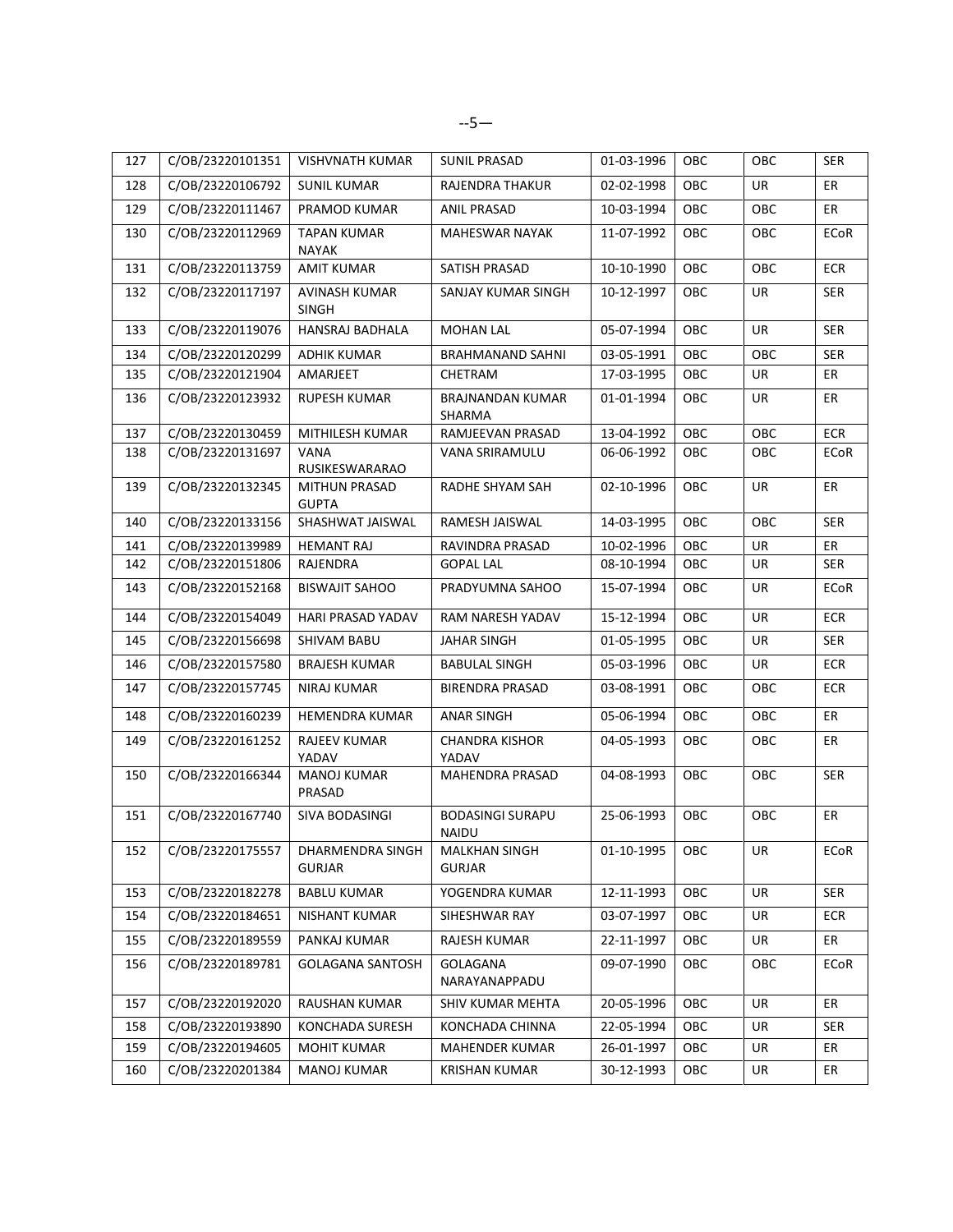| 127 | C/OB/23220101351 | <b>VISHVNATH KUMAR</b>        | <b>SUNIL PRASAD</b>                     | 01-03-1996 | OBC        | OBC        | <b>SER</b> |
|-----|------------------|-------------------------------|-----------------------------------------|------------|------------|------------|------------|
| 128 | C/OB/23220106792 | <b>SUNIL KUMAR</b>            | RAJENDRA THAKUR                         | 02-02-1998 | OBC        | UR         | ER         |
| 129 | C/OB/23220111467 | PRAMOD KUMAR                  | ANIL PRASAD                             | 10-03-1994 | OBC        | OBC        | ER         |
| 130 | C/OB/23220112969 | TAPAN KUMAR<br><b>NAYAK</b>   | <b>MAHESWAR NAYAK</b>                   | 11-07-1992 | OBC        | OBC        | ECoR       |
| 131 | C/OB/23220113759 | <b>AMIT KUMAR</b>             | SATISH PRASAD                           | 10-10-1990 | OBC        | OBC        | <b>ECR</b> |
| 132 | C/OB/23220117197 | <b>AVINASH KUMAR</b><br>SINGH | SANJAY KUMAR SINGH                      | 10-12-1997 | OBC        | UR         | SER        |
| 133 | C/OB/23220119076 | HANSRAJ BADHALA               | <b>MOHAN LAL</b>                        | 05-07-1994 | OBC        | <b>UR</b>  | <b>SER</b> |
| 134 | C/OB/23220120299 | <b>ADHIK KUMAR</b>            | <b>BRAHMANAND SAHNI</b>                 | 03-05-1991 | OBC        | <b>OBC</b> | <b>SER</b> |
| 135 | C/OB/23220121904 | AMARJEET                      | CHETRAM                                 | 17-03-1995 | OBC        | UR         | ER         |
| 136 | C/OB/23220123932 | <b>RUPESH KUMAR</b>           | <b>BRAJNANDAN KUMAR</b><br>SHARMA       | 01-01-1994 | OBC        | UR         | ER         |
| 137 | C/OB/23220130459 | MITHILESH KUMAR               | RAMJEEVAN PRASAD                        | 13-04-1992 | OBC        | OBC        | <b>ECR</b> |
| 138 | C/OB/23220131697 | VANA<br>RUSIKESWARARAO        | VANA SRIRAMULU                          | 06-06-1992 | OBC        | OBC        | ECoR       |
| 139 | C/OB/23220132345 | MITHUN PRASAD<br><b>GUPTA</b> | RADHE SHYAM SAH                         | 02-10-1996 | <b>OBC</b> | UR         | ER         |
| 140 | C/OB/23220133156 | SHASHWAT JAISWAL              | RAMESH JAISWAL                          | 14-03-1995 | OBC        | OBC        | <b>SER</b> |
| 141 | C/OB/23220139989 | <b>HEMANT RAJ</b>             | RAVINDRA PRASAD                         | 10-02-1996 | OBC        | UR         | ER         |
| 142 | C/OB/23220151806 | RAJENDRA                      | <b>GOPAL LAL</b>                        | 08-10-1994 | OBC        | UR         | <b>SER</b> |
| 143 | C/OB/23220152168 | <b>BISWAJIT SAHOO</b>         | PRADYUMNA SAHOO                         | 15-07-1994 | OBC        | UR         | ECoR       |
| 144 | C/OB/23220154049 | HARI PRASAD YADAV             | RAM NARESH YADAV                        | 15-12-1994 | OBC        | UR         | <b>ECR</b> |
| 145 | C/OB/23220156698 | SHIVAM BABU                   | <b>JAHAR SINGH</b>                      | 01-05-1995 | OBC        | UR         | <b>SER</b> |
| 146 | C/OB/23220157580 | <b>BRAJESH KUMAR</b>          | <b>BABULAL SINGH</b>                    | 05-03-1996 | OBC        | UR         | <b>ECR</b> |
| 147 | C/OB/23220157745 | NIRAJ KUMAR                   | <b>BIRENDRA PRASAD</b>                  | 03-08-1991 | OBC        | <b>OBC</b> | <b>ECR</b> |
| 148 | C/OB/23220160239 | <b>HEMENDRA KUMAR</b>         | <b>ANAR SINGH</b>                       | 05-06-1994 | OBC        | OBC        | ER         |
| 149 | C/OB/23220161252 | RAJEEV KUMAR<br>YADAV         | <b>CHANDRA KISHOR</b><br>YADAV          | 04-05-1993 | OBC        | OBC        | ER         |
| 150 | C/OB/23220166344 | <b>MANOJ KUMAR</b><br>PRASAD  | MAHENDRA PRASAD                         | 04-08-1993 | <b>OBC</b> | <b>OBC</b> | <b>SER</b> |
| 151 | C/OB/23220167740 | SIVA BODASINGI                | <b>BODASINGI SURAPU</b><br><b>NAIDU</b> | 25-06-1993 | OBC        | OBC        | ER         |
| 152 | C/OB/23220175557 | DHARMENDRA SINGH<br>GURJAR    | <b>MALKHAN SINGH</b><br><b>GURJAR</b>   | 01-10-1995 | OBC        | UR         | ECoR       |
| 153 | C/OB/23220182278 | <b>BABLU KUMAR</b>            | YOGENDRA KUMAR                          | 12-11-1993 | OBC        | <b>UR</b>  | <b>SER</b> |
| 154 | C/OB/23220184651 | NISHANT KUMAR                 | SIHESHWAR RAY                           | 03-07-1997 | OBC        | UR         | <b>ECR</b> |
| 155 | C/OB/23220189559 | PANKAJ KUMAR                  | RAJESH KUMAR                            | 22-11-1997 | OBC        | UR         | ER         |
| 156 | C/OB/23220189781 | <b>GOLAGANA SANTOSH</b>       | <b>GOLAGANA</b><br>NARAYANAPPADU        | 09-07-1990 | OBC        | OBC        | ECoR       |
| 157 | C/OB/23220192020 | RAUSHAN KUMAR                 | SHIV KUMAR MEHTA                        | 20-05-1996 | OBC        | <b>UR</b>  | ER         |
| 158 | C/OB/23220193890 | KONCHADA SURESH               | KONCHADA CHINNA                         | 22-05-1994 | OBC        | UR         | <b>SER</b> |
| 159 | C/OB/23220194605 | <b>MOHIT KUMAR</b>            | MAHENDER KUMAR                          | 26-01-1997 | OBC        | UR         | ER         |
| 160 | C/OB/23220201384 | <b>MANOJ KUMAR</b>            | <b>KRISHAN KUMAR</b>                    | 30-12-1993 | OBC        | UR         | ER         |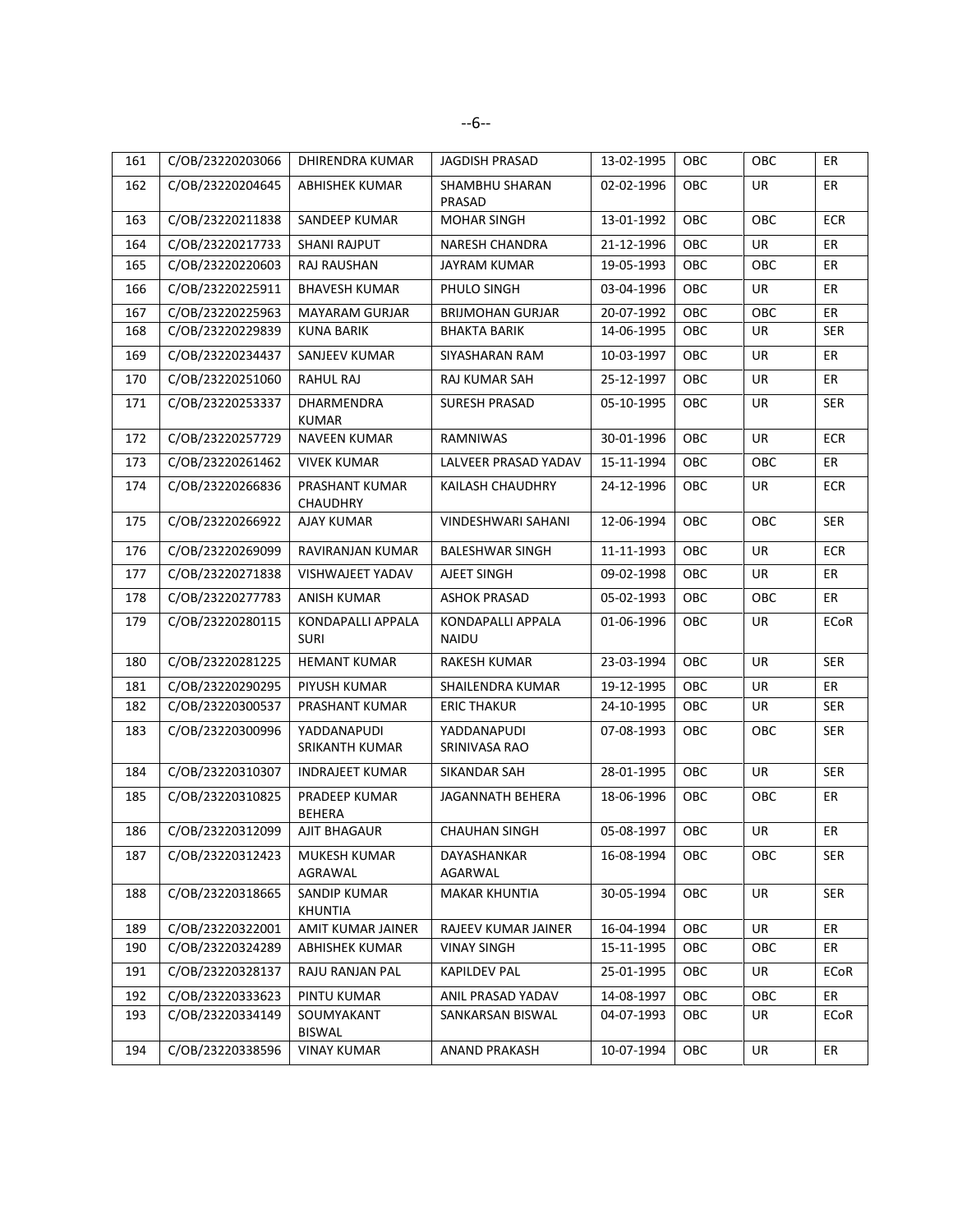| 161 | C/OB/23220203066 | DHIRENDRA KUMAR                   | JAGDISH PRASAD                    | 13-02-1995 | <b>OBC</b> | <b>OBC</b> | ER          |
|-----|------------------|-----------------------------------|-----------------------------------|------------|------------|------------|-------------|
| 162 | C/OB/23220204645 | <b>ABHISHEK KUMAR</b>             | SHAMBHU SHARAN<br>PRASAD          | 02-02-1996 | <b>OBC</b> | UR         | ER          |
| 163 | C/OB/23220211838 | SANDEEP KUMAR                     | <b>MOHAR SINGH</b>                | 13-01-1992 | OBC        | OBC        | <b>ECR</b>  |
| 164 | C/OB/23220217733 | <b>SHANI RAJPUT</b>               | <b>NARESH CHANDRA</b>             | 21-12-1996 | OBC        | <b>UR</b>  | ER          |
| 165 | C/OB/23220220603 | RAJ RAUSHAN                       | JAYRAM KUMAR                      | 19-05-1993 | OBC        | <b>OBC</b> | ER          |
| 166 | C/OB/23220225911 | <b>BHAVESH KUMAR</b>              | PHULO SINGH                       | 03-04-1996 | OBC        | UR         | ER          |
| 167 | C/OB/23220225963 | <b>MAYARAM GURJAR</b>             | <b>BRIJMOHAN GURJAR</b>           | 20-07-1992 | OBC        | OBC        | ER          |
| 168 | C/OB/23220229839 | <b>KUNA BARIK</b>                 | <b>BHAKTA BARIK</b>               | 14-06-1995 | OBC        | UR         | <b>SER</b>  |
| 169 | C/OB/23220234437 | SANJEEV KUMAR                     | SIYASHARAN RAM                    | 10-03-1997 | <b>OBC</b> | UR         | ER          |
| 170 | C/OB/23220251060 | RAHUL RAJ                         | RAJ KUMAR SAH                     | 25-12-1997 | OBC        | UR         | ER          |
| 171 | C/OB/23220253337 | DHARMENDRA<br><b>KUMAR</b>        | <b>SURESH PRASAD</b>              | 05-10-1995 | OBC        | UR         | <b>SER</b>  |
| 172 | C/OB/23220257729 | NAVEEN KUMAR                      | RAMNIWAS                          | 30-01-1996 | OBC        | <b>UR</b>  | <b>ECR</b>  |
| 173 | C/OB/23220261462 | <b>VIVEK KUMAR</b>                | LALVEER PRASAD YADAV              | 15-11-1994 | OBC        | <b>OBC</b> | ER          |
| 174 | C/OB/23220266836 | PRASHANT KUMAR<br><b>CHAUDHRY</b> | KAILASH CHAUDHRY                  | 24-12-1996 | OBC        | UR         | <b>ECR</b>  |
| 175 | C/OB/23220266922 | AJAY KUMAR                        | <b>VINDESHWARI SAHANI</b>         | 12-06-1994 | OBC        | OBC        | <b>SER</b>  |
| 176 | C/OB/23220269099 | RAVIRANJAN KUMAR                  | <b>BALESHWAR SINGH</b>            | 11-11-1993 | OBC        | <b>UR</b>  | <b>ECR</b>  |
| 177 | C/OB/23220271838 | VISHWAJEET YADAV                  | AJEET SINGH                       | 09-02-1998 | OBC        | <b>UR</b>  | ER          |
| 178 | C/OB/23220277783 | ANISH KUMAR                       | <b>ASHOK PRASAD</b>               | 05-02-1993 | <b>OBC</b> | OBC        | ER          |
| 179 | C/OB/23220280115 | KONDAPALLI APPALA<br><b>SURI</b>  | KONDAPALLI APPALA<br><b>NAIDU</b> | 01-06-1996 | <b>OBC</b> | UR         | <b>ECoR</b> |
| 180 | C/OB/23220281225 | <b>HEMANT KUMAR</b>               | <b>RAKESH KUMAR</b>               | 23-03-1994 | <b>OBC</b> | UR         | <b>SER</b>  |
| 181 | C/OB/23220290295 | PIYUSH KUMAR                      | SHAILENDRA KUMAR                  | 19-12-1995 | OBC        | UR         | ER          |
| 182 | C/OB/23220300537 | PRASHANT KUMAR                    | <b>ERIC THAKUR</b>                | 24-10-1995 | OBC        | UR         | SER         |
| 183 | C/OB/23220300996 | YADDANAPUDI<br>SRIKANTH KUMAR     | YADDANAPUDI<br>SRINIVASA RAO      | 07-08-1993 | OBC        | OBC        | SER         |
| 184 | C/OB/23220310307 | <b>INDRAJEET KUMAR</b>            | SIKANDAR SAH                      | 28-01-1995 | OBC        | <b>UR</b>  | <b>SER</b>  |
| 185 | C/OB/23220310825 | PRADEEP KUMAR<br><b>BEHERA</b>    | JAGANNATH BEHERA                  | 18-06-1996 | OBC        | <b>OBC</b> | ER          |
| 186 | C/OB/23220312099 | AJIT BHAGAUR                      | <b>CHAUHAN SINGH</b>              | 05-08-1997 | <b>OBC</b> | <b>UR</b>  | ER          |
| 187 | C/OB/23220312423 | MUKESH KUMAR<br>AGRAWAL           | DAYASHANKAR<br>AGARWAL            | 16-08-1994 | OBC        | OBC        | <b>SER</b>  |
| 188 | C/OB/23220318665 | SANDIP KUMAR<br><b>KHUNTIA</b>    | <b>MAKAR KHUNTIA</b>              | 30-05-1994 | OBC        | UR         | <b>SER</b>  |
| 189 | C/OB/23220322001 | AMIT KUMAR JAINER                 | RAJEEV KUMAR JAINER               | 16-04-1994 | OBC        | <b>UR</b>  | ER          |
| 190 | C/OB/23220324289 | ABHISHEK KUMAR                    | <b>VINAY SINGH</b>                | 15-11-1995 | OBC        | OBC        | ER          |
| 191 | C/OB/23220328137 | RAJU RANJAN PAL                   | <b>KAPILDEV PAL</b>               | 25-01-1995 | OBC        | UR         | <b>ECoR</b> |
| 192 | C/OB/23220333623 | PINTU KUMAR                       | ANIL PRASAD YADAV                 | 14-08-1997 | OBC        | OBC        | ER          |
| 193 | C/OB/23220334149 | SOUMYAKANT<br>BISWAL              | SANKARSAN BISWAL                  | 04-07-1993 | OBC        | UR         | ECoR        |
| 194 | C/OB/23220338596 | <b>VINAY KUMAR</b>                | ANAND PRAKASH                     | 10-07-1994 | OBC        | UR         | ER          |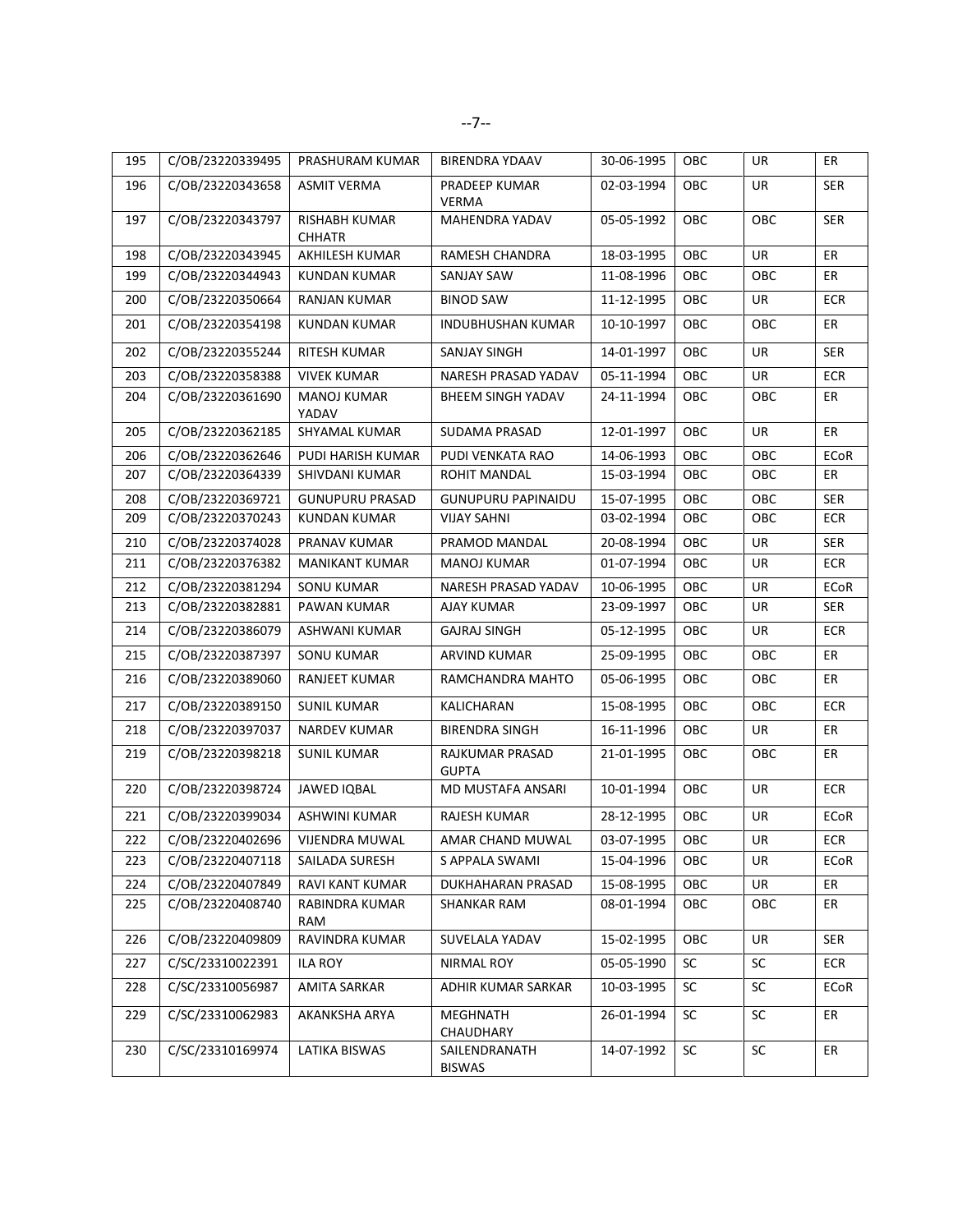| 195 | C/OB/23220339495 | PRASHURAM KUMAR                       | <b>BIRENDRA YDAAV</b>           | 30-06-1995 | OBC        | <b>UR</b> | ER          |
|-----|------------------|---------------------------------------|---------------------------------|------------|------------|-----------|-------------|
|     |                  |                                       |                                 |            |            |           |             |
| 196 | C/OB/23220343658 | <b>ASMIT VERMA</b>                    | PRADEEP KUMAR<br><b>VERMA</b>   | 02-03-1994 | OBC        | UR        | <b>SER</b>  |
| 197 | C/OB/23220343797 | <b>RISHABH KUMAR</b><br><b>CHHATR</b> | MAHENDRA YADAV                  | 05-05-1992 | OBC        | OBC       | <b>SER</b>  |
| 198 | C/OB/23220343945 | AKHILESH KUMAR                        | <b>RAMESH CHANDRA</b>           | 18-03-1995 | OBC        | UR        | ER          |
| 199 | C/OB/23220344943 | <b>KUNDAN KUMAR</b>                   | <b>SANJAY SAW</b>               | 11-08-1996 | OBC        | OBC       | ER          |
| 200 | C/OB/23220350664 | RANJAN KUMAR                          | <b>BINOD SAW</b>                | 11-12-1995 | <b>OBC</b> | UR        | <b>ECR</b>  |
| 201 | C/OB/23220354198 | <b>KUNDAN KUMAR</b>                   | <b>INDUBHUSHAN KUMAR</b>        | 10-10-1997 | OBC        | OBC       | ER          |
| 202 | C/OB/23220355244 | RITESH KUMAR                          | <b>SANJAY SINGH</b>             | 14-01-1997 | OBC        | UR        | <b>SER</b>  |
| 203 | C/OB/23220358388 | <b>VIVEK KUMAR</b>                    | NARESH PRASAD YADAV             | 05-11-1994 | OBC        | UR        | <b>ECR</b>  |
| 204 | C/OB/23220361690 | MANOJ KUMAR<br>YADAV                  | BHEEM SINGH YADAV               | 24-11-1994 | OBC        | OBC       | ER          |
| 205 | C/OB/23220362185 | SHYAMAL KUMAR                         | SUDAMA PRASAD                   | 12-01-1997 | OBC        | UR        | ER          |
| 206 | C/OB/23220362646 | <b>PUDI HARISH KUMAR</b>              | PUDI VENKATA RAO                | 14-06-1993 | OBC        | OBC       | <b>ECoR</b> |
| 207 | C/OB/23220364339 | SHIVDANI KUMAR                        | ROHIT MANDAL                    | 15-03-1994 | OBC        | OBC       | ER          |
| 208 | C/OB/23220369721 | <b>GUNUPURU PRASAD</b>                | <b>GUNUPURU PAPINAIDU</b>       | 15-07-1995 | OBC        | OBC       | <b>SER</b>  |
| 209 | C/OB/23220370243 | <b>KUNDAN KUMAR</b>                   | <b>VIJAY SAHNI</b>              | 03-02-1994 | OBC        | OBC       | ECR         |
| 210 | C/OB/23220374028 | PRANAV KUMAR                          | PRAMOD MANDAL                   | 20-08-1994 | OBC        | UR        | <b>SER</b>  |
| 211 | C/OB/23220376382 | <b>MANIKANT KUMAR</b>                 | <b>MANOJ KUMAR</b>              | 01-07-1994 | OBC        | UR        | <b>ECR</b>  |
| 212 | C/OB/23220381294 | <b>SONU KUMAR</b>                     | NARESH PRASAD YADAV             | 10-06-1995 | OBC        | <b>UR</b> | <b>ECoR</b> |
| 213 | C/OB/23220382881 | PAWAN KUMAR                           | AJAY KUMAR                      | 23-09-1997 | OBC        | UR        | SER         |
| 214 | C/OB/23220386079 | ASHWANI KUMAR                         | <b>GAJRAJ SINGH</b>             | 05-12-1995 | <b>OBC</b> | UR        | <b>ECR</b>  |
| 215 | C/OB/23220387397 | SONU KUMAR                            | <b>ARVIND KUMAR</b>             | 25-09-1995 | OBC        | OBC       | ER          |
| 216 | C/OB/23220389060 | RANJEET KUMAR                         | RAMCHANDRA MAHTO                | 05-06-1995 | OBC        | OBC       | ER          |
| 217 | C/OB/23220389150 | <b>SUNIL KUMAR</b>                    | KALICHARAN                      | 15-08-1995 | OBC        | OBC       | <b>ECR</b>  |
| 218 | C/OB/23220397037 | NARDEV KUMAR                          | <b>BIRENDRA SINGH</b>           | 16-11-1996 | <b>OBC</b> | UR        | ER          |
| 219 | C/OB/23220398218 | <b>SUNIL KUMAR</b>                    | RAJKUMAR PRASAD<br><b>GUPTA</b> | 21-01-1995 | OBC        | OBC       | ER          |
| 220 | C/OB/23220398724 | <b>JAWED IQBAL</b>                    | MD MUSTAFA ANSARI               | 10-01-1994 | OBC        | UR        | <b>ECR</b>  |
| 221 | C/OB/23220399034 | ASHWINI KUMAR                         | <b>RAJESH KUMAR</b>             | 28-12-1995 | OBC        | UR        | ECoR        |
| 222 | C/OB/23220402696 | <b>VIJENDRA MUWAL</b>                 | AMAR CHAND MUWAL                | 03-07-1995 | OBC        | UR        | ECR         |
| 223 | C/OB/23220407118 | SAILADA SURESH                        | S APPALA SWAMI                  | 15-04-1996 | OBC        | UR        | ECoR        |
| 224 | C/OB/23220407849 | RAVI KANT KUMAR                       | <b>DUKHAHARAN PRASAD</b>        | 15-08-1995 | OBC        | UR        | ER          |
| 225 | C/OB/23220408740 | RABINDRA KUMAR<br>RAM                 | SHANKAR RAM                     | 08-01-1994 | OBC        | OBC       | ER          |
| 226 | C/OB/23220409809 | RAVINDRA KUMAR                        | SUVELALA YADAV                  | 15-02-1995 | OBC        | UR        | SER         |
| 227 | C/SC/23310022391 | ILA ROY                               | NIRMAL ROY                      | 05-05-1990 | SC         | <b>SC</b> | <b>ECR</b>  |
| 228 | C/SC/23310056987 | AMITA SARKAR                          | ADHIR KUMAR SARKAR              | 10-03-1995 | SC         | <b>SC</b> | <b>ECoR</b> |
| 229 | C/SC/23310062983 | AKANKSHA ARYA                         | <b>MEGHNATH</b><br>CHAUDHARY    | 26-01-1994 | SC         | SC        | ER          |
| 230 | C/SC/23310169974 | LATIKA BISWAS                         | SAILENDRANATH<br><b>BISWAS</b>  | 14-07-1992 | SC         | SC        | ER          |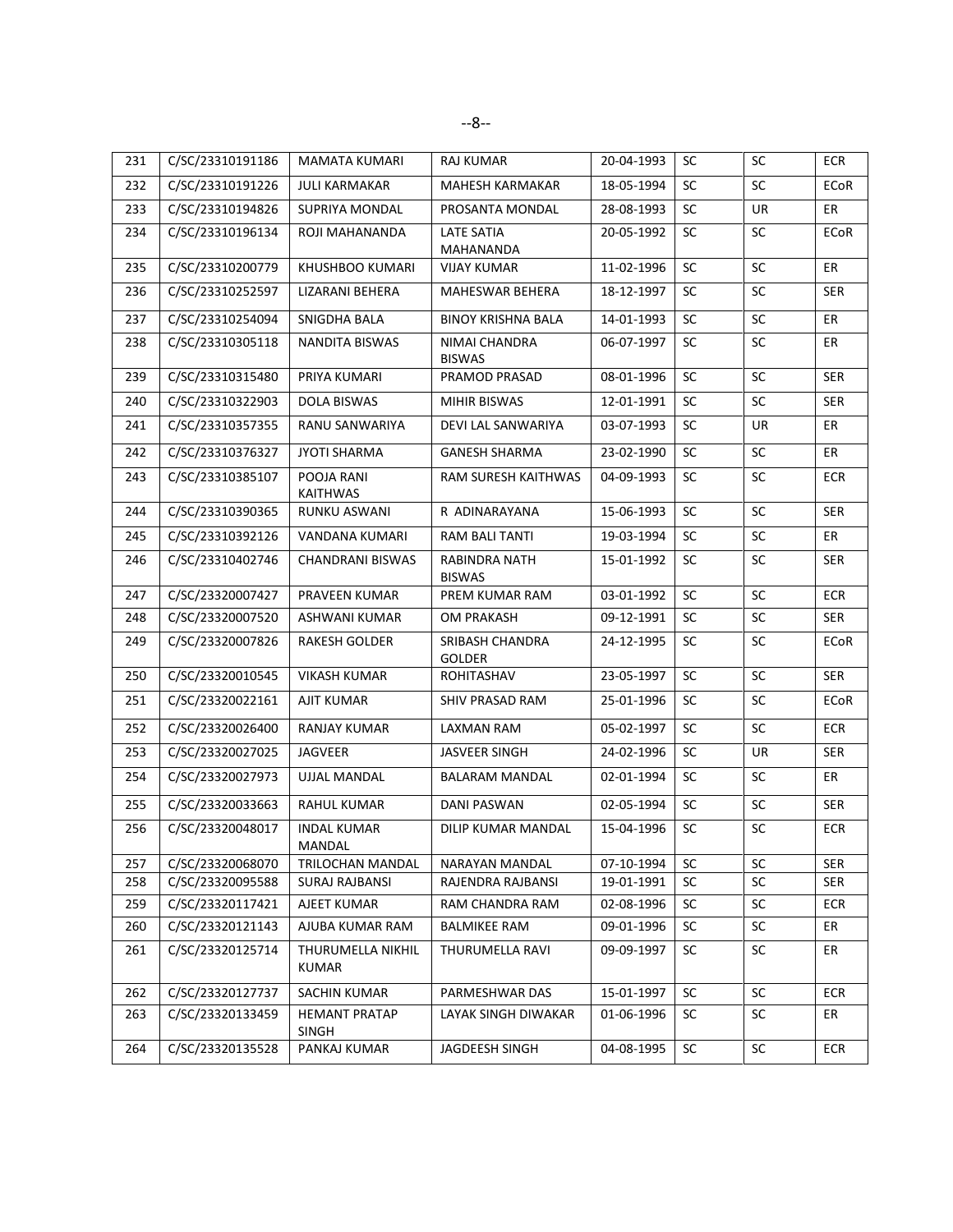| 231 | C/SC/23310191186 | <b>MAMATA KUMARI</b>          | <b>RAJ KUMAR</b>                      | 20-04-1993 | <b>SC</b> | <b>SC</b> | <b>ECR</b>  |
|-----|------------------|-------------------------------|---------------------------------------|------------|-----------|-----------|-------------|
| 232 | C/SC/23310191226 | <b>JULI KARMAKAR</b>          | MAHESH KARMAKAR                       | 18-05-1994 | SC        | SC        | ECoR        |
| 233 | C/SC/23310194826 | SUPRIYA MONDAL                | PROSANTA MONDAL                       | 28-08-1993 | SC        | UR        | ER          |
| 234 | C/SC/23310196134 | ROJI MAHANANDA                | <b>LATE SATIA</b><br>MAHANANDA        | 20-05-1992 | SC        | SC        | <b>ECoR</b> |
| 235 | C/SC/23310200779 | KHUSHBOO KUMARI               | <b>VIJAY KUMAR</b>                    | 11-02-1996 | SC        | SC        | ER          |
| 236 | C/SC/23310252597 | LIZARANI BEHERA               | MAHESWAR BEHERA                       | 18-12-1997 | <b>SC</b> | <b>SC</b> | <b>SER</b>  |
| 237 | C/SC/23310254094 | SNIGDHA BALA                  | <b>BINOY KRISHNA BALA</b>             | 14-01-1993 | <b>SC</b> | <b>SC</b> | ER          |
| 238 | C/SC/23310305118 | NANDITA BISWAS                | <b>NIMAI CHANDRA</b><br><b>BISWAS</b> | 06-07-1997 | SC        | SC        | ER          |
| 239 | C/SC/23310315480 | PRIYA KUMARI                  | PRAMOD PRASAD                         | 08-01-1996 | SC        | SC        | <b>SER</b>  |
| 240 | C/SC/23310322903 | DOLA BISWAS                   | MIHIR BISWAS                          | 12-01-1991 | <b>SC</b> | <b>SC</b> | <b>SER</b>  |
| 241 | C/SC/23310357355 | RANU SANWARIYA                | DEVI LAL SANWARIYA                    | 03-07-1993 | <b>SC</b> | UR        | ER          |
| 242 | C/SC/23310376327 | <b>JYOTI SHARMA</b>           | <b>GANESH SHARMA</b>                  | 23-02-1990 | SC        | <b>SC</b> | <b>ER</b>   |
| 243 | C/SC/23310385107 | POOJA RANI<br>KAITHWAS        | RAM SURESH KAITHWAS                   | 04-09-1993 | SC        | SC        | <b>ECR</b>  |
| 244 | C/SC/23310390365 | RUNKU ASWANI                  | R ADINARAYANA                         | 15-06-1993 | <b>SC</b> | <b>SC</b> | <b>SER</b>  |
| 245 | C/SC/23310392126 | VANDANA KUMARI                | <b>RAM BALI TANTI</b>                 | 19-03-1994 | SC        | <b>SC</b> | ER          |
| 246 | C/SC/23310402746 | CHANDRANI BISWAS              | RABINDRA NATH<br><b>BISWAS</b>        | 15-01-1992 | SC        | SC        | <b>SER</b>  |
| 247 | C/SC/23320007427 | PRAVEEN KUMAR                 | PREM KUMAR RAM                        | 03-01-1992 | SC        | <b>SC</b> | <b>ECR</b>  |
| 248 | C/SC/23320007520 | ASHWANI KUMAR                 | OM PRAKASH                            | 09-12-1991 | SC        | SC        | <b>SER</b>  |
| 249 | C/SC/23320007826 | RAKESH GOLDER                 | SRIBASH CHANDRA<br><b>GOLDER</b>      | 24-12-1995 | SC        | SC        | ECoR        |
| 250 | C/SC/23320010545 | <b>VIKASH KUMAR</b>           | ROHITASHAV                            | 23-05-1997 | SC        | SC        | <b>SER</b>  |
| 251 | C/SC/23320022161 | AJIT KUMAR                    | SHIV PRASAD RAM                       | 25-01-1996 | <b>SC</b> | <b>SC</b> | ECoR        |
| 252 | C/SC/23320026400 | <b>RANJAY KUMAR</b>           | LAXMAN RAM                            | 05-02-1997 | <b>SC</b> | <b>SC</b> | <b>ECR</b>  |
| 253 | C/SC/23320027025 | JAGVEER                       | JASVEER SINGH                         | 24-02-1996 | SC        | UR        | <b>SER</b>  |
| 254 | C/SC/23320027973 | <b>UJJAL MANDAL</b>           | <b>BALARAM MANDAL</b>                 | 02-01-1994 | SC        | SC        | ER          |
| 255 | C/SC/23320033663 | <b>RAHUL KUMAR</b>            | <b>DANI PASWAN</b>                    | 02-05-1994 | <b>SC</b> | SC        | <b>SER</b>  |
| 256 | C/SC/23320048017 | INDAL KUMAR<br>MANDAL         | DILIP KUMAR MANDAL                    | 15-04-1996 | <b>SC</b> | <b>SC</b> | <b>ECR</b>  |
| 257 | C/SC/23320068070 | TRILOCHAN MANDAL              | NARAYAN MANDAL                        | 07-10-1994 | <b>SC</b> | SC        | <b>SER</b>  |
| 258 | C/SC/23320095588 | <b>SURAJ RAJBANSI</b>         | RAJENDRA RAJBANSI                     | 19-01-1991 | SC        | SC        | <b>SER</b>  |
| 259 | C/SC/23320117421 | AJEET KUMAR                   | RAM CHANDRA RAM                       | 02-08-1996 | SC        | SC        | ECR         |
| 260 | C/SC/23320121143 | AJUBA KUMAR RAM               | <b>BALMIKEE RAM</b>                   | 09-01-1996 | SC        | SC        | ER          |
| 261 | C/SC/23320125714 | THURUMELLA NIKHIL<br>KUMAR    | THURUMELLA RAVI                       | 09-09-1997 | SC        | <b>SC</b> | ER          |
| 262 | C/SC/23320127737 | SACHIN KUMAR                  | PARMESHWAR DAS                        | 15-01-1997 | SC        | SC        | <b>ECR</b>  |
| 263 | C/SC/23320133459 | <b>HEMANT PRATAP</b><br>SINGH | LAYAK SINGH DIWAKAR                   | 01-06-1996 | SC        | <b>SC</b> | ER          |
| 264 | C/SC/23320135528 | PANKAJ KUMAR                  | JAGDEESH SINGH                        | 04-08-1995 | SC        | SC        | <b>ECR</b>  |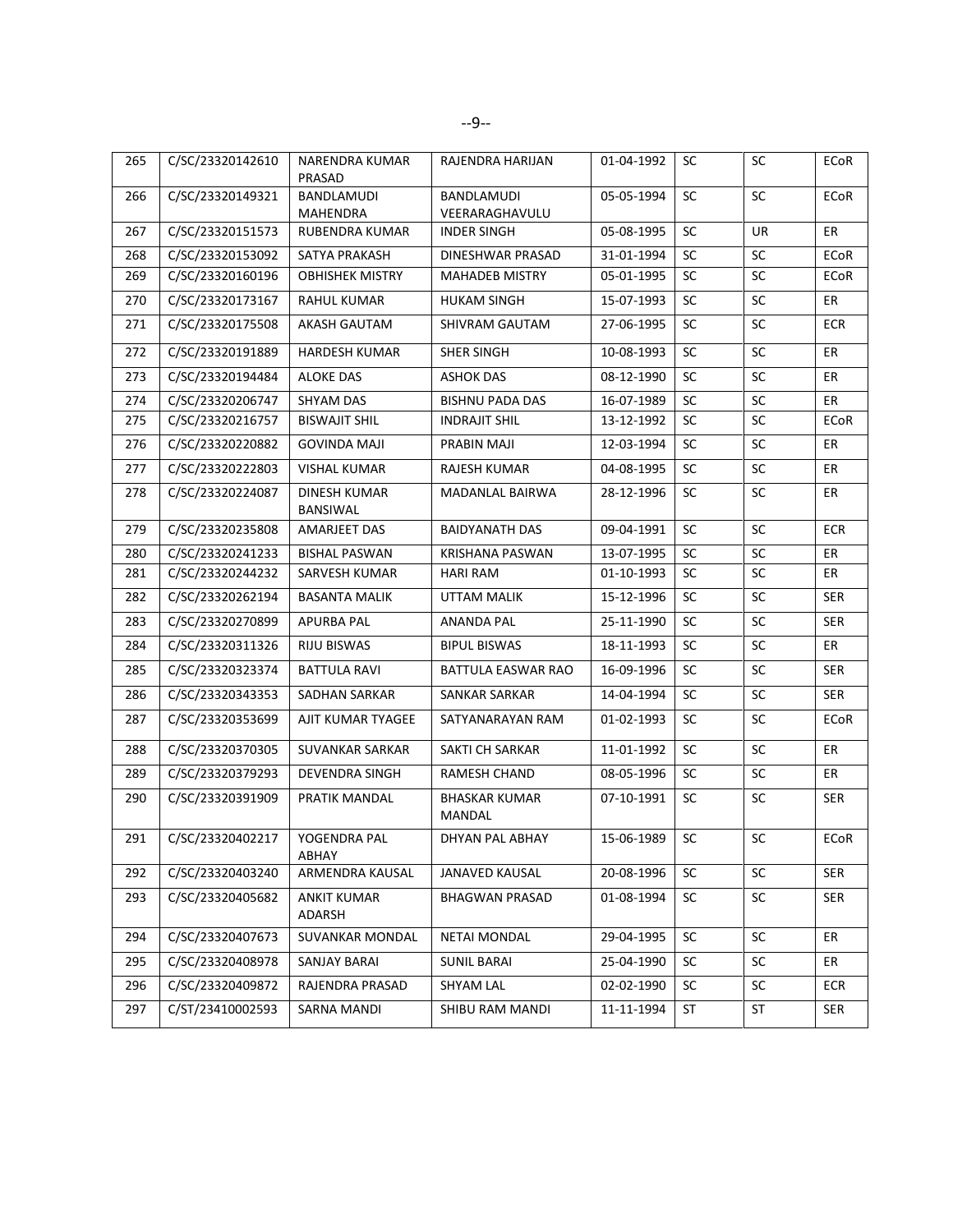| 265 | C/SC/23320142610 | NARENDRA KUMAR<br>PRASAD     | RAJENDRA HARIJAN               | 01-04-1992 | SC        | <b>SC</b> | ECoR        |
|-----|------------------|------------------------------|--------------------------------|------------|-----------|-----------|-------------|
| 266 | C/SC/23320149321 | BANDLAMUDI<br>MAHENDRA       | BANDLAMUDI<br>VEERARAGHAVULU   | 05-05-1994 | <b>SC</b> | SC        | ECoR        |
| 267 | C/SC/23320151573 | RUBENDRA KUMAR               | <b>INDER SINGH</b>             | 05-08-1995 | SC        | <b>UR</b> | ER          |
| 268 | C/SC/23320153092 | SATYA PRAKASH                | DINESHWAR PRASAD               | 31-01-1994 | <b>SC</b> | <b>SC</b> | <b>ECoR</b> |
| 269 | C/SC/23320160196 | <b>OBHISHEK MISTRY</b>       | <b>MAHADEB MISTRY</b>          | 05-01-1995 | <b>SC</b> | SC        | ECoR        |
| 270 | C/SC/23320173167 | <b>RAHUL KUMAR</b>           | <b>HUKAM SINGH</b>             | 15-07-1993 | <b>SC</b> | <b>SC</b> | ER          |
| 271 | C/SC/23320175508 | <b>AKASH GAUTAM</b>          | SHIVRAM GAUTAM                 | 27-06-1995 | <b>SC</b> | SC        | <b>ECR</b>  |
| 272 | C/SC/23320191889 | <b>HARDESH KUMAR</b>         | <b>SHER SINGH</b>              | 10-08-1993 | SC        | SC        | ER          |
| 273 | C/SC/23320194484 | <b>ALOKE DAS</b>             | <b>ASHOK DAS</b>               | 08-12-1990 | SC        | <b>SC</b> | ER          |
| 274 | C/SC/23320206747 | <b>SHYAM DAS</b>             | <b>BISHNU PADA DAS</b>         | 16-07-1989 | SC        | SC        | ER          |
| 275 | C/SC/23320216757 | <b>BISWAJIT SHIL</b>         | <b>INDRAJIT SHIL</b>           | 13-12-1992 | SC        | SC        | <b>ECoR</b> |
| 276 | C/SC/23320220882 | GOVINDA MAJI                 | PRABIN MAJI                    | 12-03-1994 | <b>SC</b> | <b>SC</b> | ER          |
| 277 | C/SC/23320222803 | <b>VISHAL KUMAR</b>          | <b>RAJESH KUMAR</b>            | 04-08-1995 | <b>SC</b> | <b>SC</b> | ER          |
| 278 | C/SC/23320224087 | DINESH KUMAR<br>BANSIWAL     | MADANLAL BAIRWA                | 28-12-1996 | <b>SC</b> | SC        | ER          |
| 279 | C/SC/23320235808 | AMARJEET DAS                 | <b>BAIDYANATH DAS</b>          | 09-04-1991 | SC        | SC        | <b>ECR</b>  |
| 280 | C/SC/23320241233 | <b>BISHAL PASWAN</b>         | <b>KRISHANA PASWAN</b>         | 13-07-1995 | SC        | SC        | ER          |
| 281 | C/SC/23320244232 | SARVESH KUMAR                | <b>HARI RAM</b>                | 01-10-1993 | <b>SC</b> | <b>SC</b> | ER          |
| 282 | C/SC/23320262194 | <b>BASANTA MALIK</b>         | UTTAM MALIK                    | 15-12-1996 | <b>SC</b> | SC        | SER         |
| 283 | C/SC/23320270899 | <b>APURBA PAL</b>            | ANANDA PAL                     | 25-11-1990 | SC        | SC        | <b>SER</b>  |
| 284 | C/SC/23320311326 | RIJU BISWAS                  | <b>BIPUL BISWAS</b>            | 18-11-1993 | <b>SC</b> | <b>SC</b> | ER          |
| 285 | C/SC/23320323374 | <b>BATTULA RAVI</b>          | BATTULA EASWAR RAO             | 16-09-1996 | SC        | SC        | <b>SER</b>  |
| 286 | C/SC/23320343353 | SADHAN SARKAR                | SANKAR SARKAR                  | 14-04-1994 | <b>SC</b> | <b>SC</b> | <b>SER</b>  |
| 287 | C/SC/23320353699 | AJIT KUMAR TYAGEE            | SATYANARAYAN RAM               | 01-02-1993 | SC        | SC        | <b>ECoR</b> |
| 288 | C/SC/23320370305 | <b>SUVANKAR SARKAR</b>       | SAKTI CH SARKAR                | 11-01-1992 | <b>SC</b> | SC        | ER          |
| 289 | C/SC/23320379293 | <b>DEVENDRA SINGH</b>        | RAMESH CHAND                   | 08-05-1996 | <b>SC</b> | <b>SC</b> | ER          |
| 290 | C/SC/23320391909 | PRATIK MANDAL                | <b>BHASKAR KUMAR</b><br>MANDAL | 07-10-1991 | SC        | SC        | SER         |
| 291 | C/SC/23320402217 | YOGENDRA PAL<br>ABHAY        | DHYAN PAL ABHAY                | 15-06-1989 | SC        | SC        | <b>ECoR</b> |
| 292 | C/SC/23320403240 | ARMENDRA KAUSAL              | JANAVED KAUSAL                 | 20-08-1996 | <b>SC</b> | <b>SC</b> | <b>SER</b>  |
| 293 | C/SC/23320405682 | <b>ANKIT KUMAR</b><br>ADARSH | <b>BHAGWAN PRASAD</b>          | 01-08-1994 | SC        | SC        | <b>SER</b>  |
| 294 | C/SC/23320407673 | SUVANKAR MONDAL              | <b>NETAI MONDAL</b>            | 29-04-1995 | <b>SC</b> | <b>SC</b> | ER          |
| 295 | C/SC/23320408978 | SANJAY BARAI                 | <b>SUNIL BARAI</b>             | 25-04-1990 | SC        | <b>SC</b> | ER          |
| 296 | C/SC/23320409872 | RAJENDRA PRASAD              | <b>SHYAM LAL</b>               | 02-02-1990 | SC        | $\sf SC$  | <b>ECR</b>  |
| 297 | C/ST/23410002593 | SARNA MANDI                  | SHIBU RAM MANDI                | 11-11-1994 | ST        | ST        | SER         |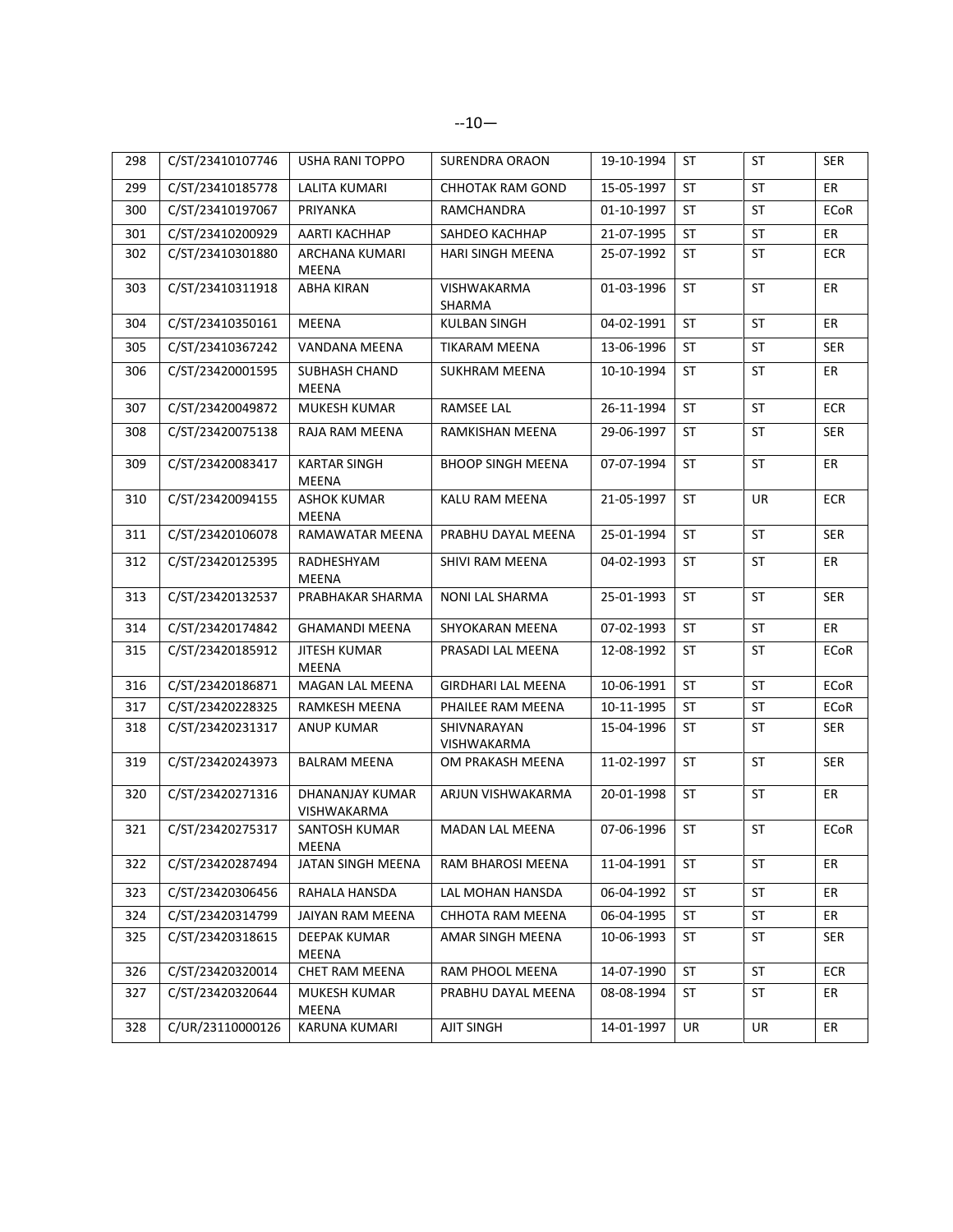| 298 | C/ST/23410107746 | USHA RANI TOPPO                | <b>SURENDRA ORAON</b>      | 19-10-1994 | ST        | <b>ST</b> | <b>SER</b>  |
|-----|------------------|--------------------------------|----------------------------|------------|-----------|-----------|-------------|
| 299 | C/ST/23410185778 | LALITA KUMARI                  | CHHOTAK RAM GOND           | 15-05-1997 | <b>ST</b> | <b>ST</b> | ER          |
| 300 | C/ST/23410197067 | PRIYANKA                       | RAMCHANDRA                 | 01-10-1997 | <b>ST</b> | <b>ST</b> | ECoR        |
| 301 | C/ST/23410200929 | AARTI KACHHAP                  | SAHDEO KACHHAP             | 21-07-1995 | ST        | <b>ST</b> | ER          |
| 302 | C/ST/23410301880 | ARCHANA KUMARI<br>MEENA        | <b>HARI SINGH MEENA</b>    | 25-07-1992 | ST        | <b>ST</b> | <b>ECR</b>  |
| 303 | C/ST/23410311918 | <b>ABHA KIRAN</b>              | VISHWAKARMA<br>SHARMA      | 01-03-1996 | ST        | ST        | ER          |
| 304 | C/ST/23410350161 | <b>MEENA</b>                   | KULBAN SINGH               | 04-02-1991 | <b>ST</b> | ST        | ER          |
| 305 | C/ST/23410367242 | VANDANA MEENA                  | TIKARAM MEENA              | 13-06-1996 | ST        | <b>ST</b> | <b>SER</b>  |
| 306 | C/ST/23420001595 | <b>SUBHASH CHAND</b><br>MEENA  | SUKHRAM MEENA              | 10-10-1994 | ST        | ST        | ER          |
| 307 | C/ST/23420049872 | MUKESH KUMAR                   | <b>RAMSEE LAL</b>          | 26-11-1994 | <b>ST</b> | <b>ST</b> | <b>ECR</b>  |
| 308 | C/ST/23420075138 | RAJA RAM MEENA                 | RAMKISHAN MEENA            | 29-06-1997 | <b>ST</b> | <b>ST</b> | <b>SER</b>  |
| 309 | C/ST/23420083417 | <b>KARTAR SINGH</b><br>MEENA   | <b>BHOOP SINGH MEENA</b>   | 07-07-1994 | ST        | <b>ST</b> | ER          |
| 310 | C/ST/23420094155 | ASHOK KUMAR<br>MEENA           | <b>KALU RAM MEENA</b>      | 21-05-1997 | <b>ST</b> | <b>UR</b> | <b>ECR</b>  |
| 311 | C/ST/23420106078 | RAMAWATAR MEENA                | PRABHU DAYAL MEENA         | 25-01-1994 | ST        | ST        | <b>SER</b>  |
| 312 | C/ST/23420125395 | RADHESHYAM<br>MEENA            | SHIVI RAM MEENA            | 04-02-1993 | ST        | ST        | ER          |
| 313 | C/ST/23420132537 | PRABHAKAR SHARMA               | NONI LAL SHARMA            | 25-01-1993 | ST        | ST        | <b>SER</b>  |
| 314 | C/ST/23420174842 | <b>GHAMANDI MEENA</b>          | SHYOKARAN MEENA            | 07-02-1993 | <b>ST</b> | <b>ST</b> | ER          |
| 315 | C/ST/23420185912 | JITESH KUMAR<br>MEENA          | PRASADI LAL MEENA          | 12-08-1992 | ST        | ST        | ECoR        |
| 316 | C/ST/23420186871 | MAGAN LAL MEENA                | <b>GIRDHARI LAL MEENA</b>  | 10-06-1991 | ST        | <b>ST</b> | <b>ECoR</b> |
| 317 | C/ST/23420228325 | RAMKESH MEENA                  | PHAILEE RAM MEENA          | 10-11-1995 | ST        | ST        | ECoR        |
| 318 | C/ST/23420231317 | ANUP KUMAR                     | SHIVNARAYAN<br>VISHWAKARMA | 15-04-1996 | ST        | ST        | <b>SER</b>  |
| 319 | C/ST/23420243973 | <b>BALRAM MEENA</b>            | OM PRAKASH MEENA           | 11-02-1997 | <b>ST</b> | ST        | <b>SER</b>  |
| 320 | C/ST/23420271316 | DHANANJAY KUMAR<br>VISHWAKARMA | ARJUN VISHWAKARMA          | 20-01-1998 | ST        | ST        | ER          |
| 321 | C/ST/23420275317 | SANTOSH KUMAR<br>MEENA         | <b>MADAN LAL MEENA</b>     | 07-06-1996 | ST        | ST        | ECoR        |
| 322 | C/ST/23420287494 | JATAN SINGH MEENA              | RAM BHAROSI MEENA          | 11-04-1991 | ST        | ST        | ER          |
| 323 | C/ST/23420306456 | RAHALA HANSDA                  | LAL MOHAN HANSDA           | 06-04-1992 | ST        | ST        | ER          |
| 324 | C/ST/23420314799 | JAIYAN RAM MEENA               | CHHOTA RAM MEENA           | 06-04-1995 | ST        | ST        | ER          |
| 325 | C/ST/23420318615 | DEEPAK KUMAR<br>MEENA          | AMAR SINGH MEENA           | 10-06-1993 | ST        | ST        | <b>SER</b>  |
| 326 | C/ST/23420320014 | CHET RAM MEENA                 | RAM PHOOL MEENA            | 14-07-1990 | ST        | ST        | <b>ECR</b>  |
| 327 | C/ST/23420320644 | MUKESH KUMAR<br>MEENA          | PRABHU DAYAL MEENA         | 08-08-1994 | ST        | ST        | ER          |
| 328 | C/UR/23110000126 | KARUNA KUMARI                  | AJIT SINGH                 | 14-01-1997 | UR        | UR        | ER          |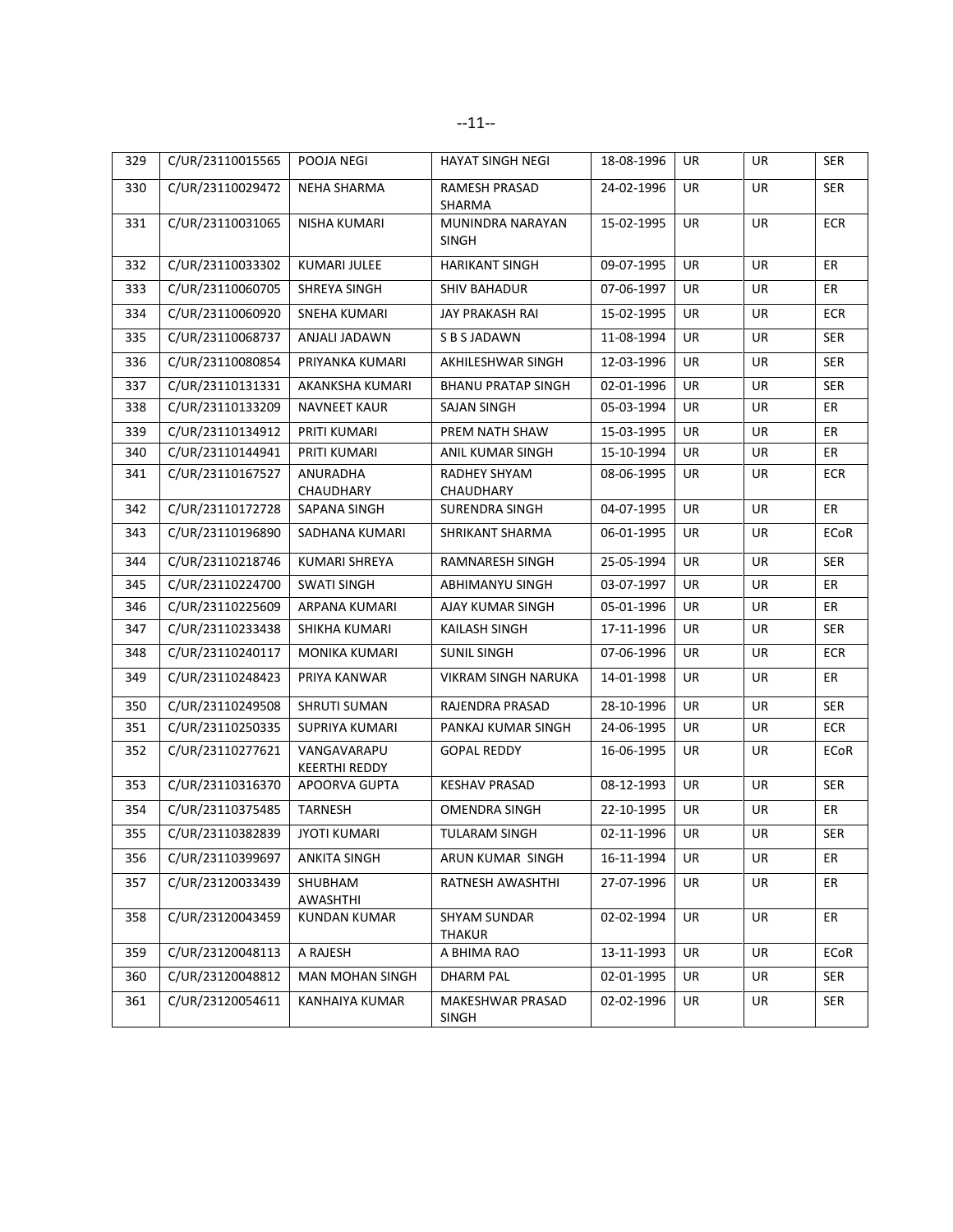| 329 | C/UR/23110015565 | POOJA NEGI                   | <b>HAYAT SINGH NEGI</b>          | 18-08-1996 | UR        | UR        | <b>SER</b>  |
|-----|------------------|------------------------------|----------------------------------|------------|-----------|-----------|-------------|
| 330 | C/UR/23110029472 | NEHA SHARMA                  | RAMESH PRASAD<br>SHARMA          | 24-02-1996 | UR        | UR        | <b>SER</b>  |
| 331 | C/UR/23110031065 | NISHA KUMARI                 | MUNINDRA NARAYAN<br><b>SINGH</b> | 15-02-1995 | UR        | UR        | <b>ECR</b>  |
| 332 | C/UR/23110033302 | <b>KUMARI JULEE</b>          | <b>HARIKANT SINGH</b>            | 09-07-1995 | <b>UR</b> | <b>UR</b> | ER          |
| 333 | C/UR/23110060705 | SHREYA SINGH                 | <b>SHIV BAHADUR</b>              | 07-06-1997 | UR        | UR        | ER          |
| 334 | C/UR/23110060920 | <b>SNEHA KUMARI</b>          | JAY PRAKASH RAI                  | 15-02-1995 | <b>UR</b> | UR        | <b>ECR</b>  |
| 335 | C/UR/23110068737 | ANJALI JADAWN                | S B S JADAWN                     | 11-08-1994 | UR        | UR        | <b>SER</b>  |
| 336 | C/UR/23110080854 | PRIYANKA KUMARI              | AKHILESHWAR SINGH                | 12-03-1996 | UR        | UR        | <b>SER</b>  |
| 337 | C/UR/23110131331 | AKANKSHA KUMARI              | <b>BHANU PRATAP SINGH</b>        | 02-01-1996 | <b>UR</b> | UR        | SER         |
| 338 | C/UR/23110133209 | <b>NAVNEET KAUR</b>          | SAJAN SINGH                      | 05-03-1994 | UR        | UR        | ER          |
| 339 | C/UR/23110134912 | PRITI KUMARI                 | PREM NATH SHAW                   | 15-03-1995 | <b>UR</b> | UR        | ER          |
| 340 | C/UR/23110144941 | PRITI KUMARI                 | ANIL KUMAR SINGH                 | 15-10-1994 | <b>UR</b> | UR        | ER          |
| 341 | C/UR/23110167527 | ANURADHA<br>CHAUDHARY        | RADHEY SHYAM<br>CHAUDHARY        | 08-06-1995 | UR        | UR        | <b>ECR</b>  |
| 342 | C/UR/23110172728 | SAPANA SINGH                 | SURENDRA SINGH                   | 04-07-1995 | UR        | <b>UR</b> | ER          |
| 343 | C/UR/23110196890 | SADHANA KUMARI               | SHRIKANT SHARMA                  | 06-01-1995 | UR        | UR        | <b>ECoR</b> |
| 344 | C/UR/23110218746 | <b>KUMARI SHREYA</b>         | <b>RAMNARESH SINGH</b>           | 25-05-1994 | <b>UR</b> | <b>UR</b> | <b>SER</b>  |
| 345 | C/UR/23110224700 | <b>SWATI SINGH</b>           | <b>ABHIMANYU SINGH</b>           | 03-07-1997 | <b>UR</b> | <b>UR</b> | ER          |
| 346 | C/UR/23110225609 | ARPANA KUMARI                | AJAY KUMAR SINGH                 | 05-01-1996 | UR        | UR        | ER          |
| 347 | C/UR/23110233438 | SHIKHA KUMARI                | <b>KAILASH SINGH</b>             | 17-11-1996 | UR        | UR        | <b>SER</b>  |
| 348 | C/UR/23110240117 | MONIKA KUMARI                | <b>SUNIL SINGH</b>               | 07-06-1996 | UR        | UR        | <b>ECR</b>  |
| 349 | C/UR/23110248423 | PRIYA KANWAR                 | VIKRAM SINGH NARUKA              | 14-01-1998 | UR        | UR        | ER          |
| 350 | C/UR/23110249508 | SHRUTI SUMAN                 | RAJENDRA PRASAD                  | 28-10-1996 | <b>UR</b> | UR        | <b>SER</b>  |
| 351 | C/UR/23110250335 | SUPRIYA KUMARI               | PANKAJ KUMAR SINGH               | 24-06-1995 | UR        | UR        | <b>ECR</b>  |
| 352 | C/UR/23110277621 | VANGAVARAPU<br>KEERTHI REDDY | <b>GOPAL REDDY</b>               | 16-06-1995 | UR        | UR        | ECoR        |
| 353 | C/UR/23110316370 | APOORVA GUPTA                | <b>KESHAV PRASAD</b>             | 08-12-1993 | UR        | UR        | <b>SER</b>  |
| 354 | C/UR/23110375485 | <b>TARNESH</b>               | OMENDRA SINGH                    | 22-10-1995 | UR        | UR        | ER          |
| 355 | C/UR/23110382839 | <b>JYOTI KUMARI</b>          | <b>TULARAM SINGH</b>             | 02-11-1996 | UR        | UR        | SER         |
| 356 | C/UR/23110399697 | ANKITA SINGH                 | ARUN KUMAR SINGH                 | 16-11-1994 | UR        | UR        | ER          |
| 357 | C/UR/23120033439 | SHUBHAM<br>AWASHTHI          | RATNESH AWASHTHI                 | 27-07-1996 | UR        | UR        | ER          |
| 358 | C/UR/23120043459 | <b>KUNDAN KUMAR</b>          | <b>SHYAM SUNDAR</b><br>THAKUR    | 02-02-1994 | UR        | UR        | ER          |
| 359 | C/UR/23120048113 | A RAJESH                     | A BHIMA RAO                      | 13-11-1993 | UR        | UR        | <b>ECoR</b> |
| 360 | C/UR/23120048812 | <b>MAN MOHAN SINGH</b>       | DHARM PAL                        | 02-01-1995 | UR        | UR        | SER         |
| 361 | C/UR/23120054611 | KANHAIYA KUMAR               | MAKESHWAR PRASAD<br><b>SINGH</b> | 02-02-1996 | UR        | UR        | <b>SER</b>  |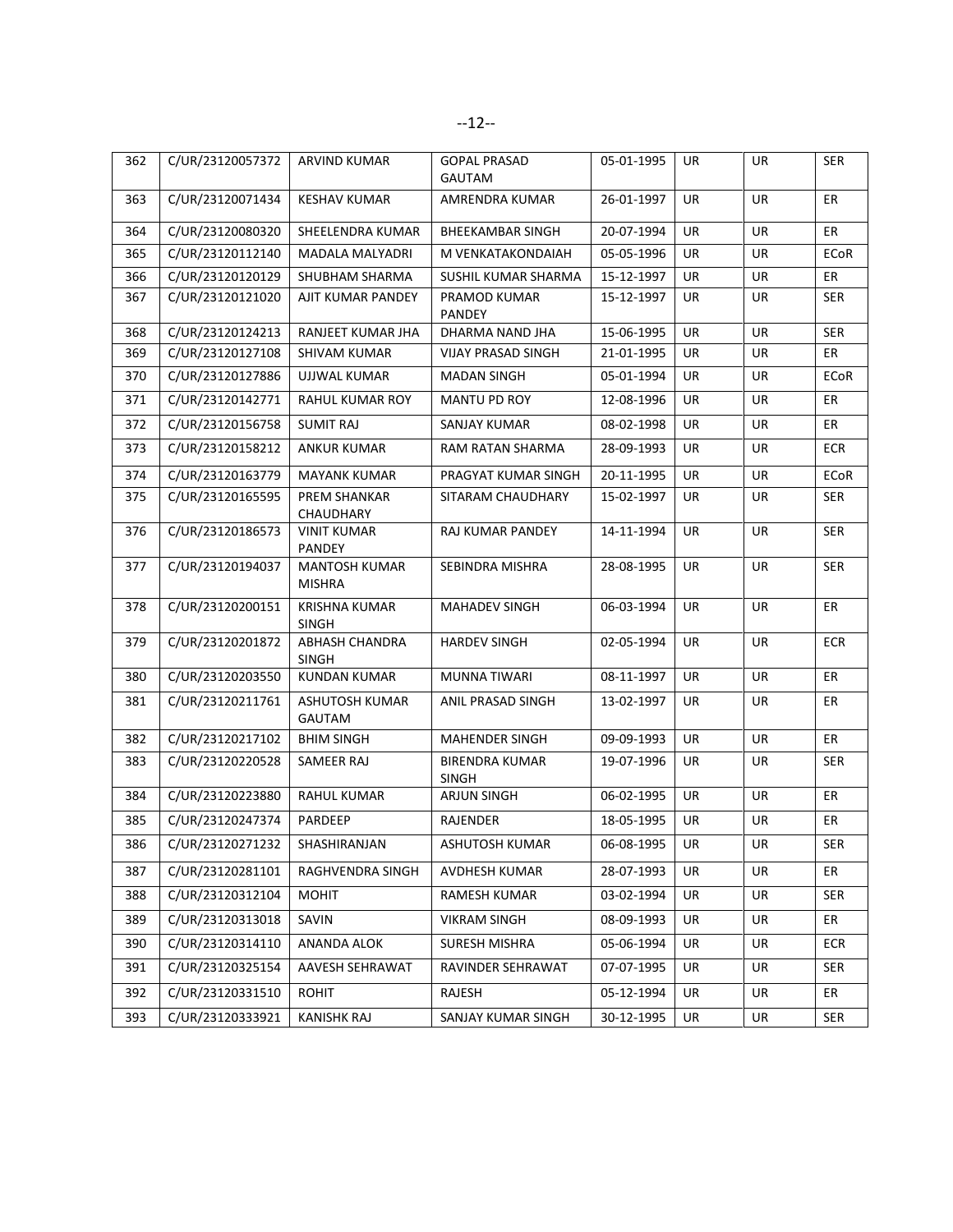| 362 | C/UR/23120057372 | <b>ARVIND KUMAR</b>                   | <b>GOPAL PRASAD</b><br><b>GAUTAM</b>  | 05-01-1995 | UR        | UR        | <b>SER</b>  |
|-----|------------------|---------------------------------------|---------------------------------------|------------|-----------|-----------|-------------|
| 363 | C/UR/23120071434 | <b>KESHAV KUMAR</b>                   | AMRENDRA KUMAR                        | 26-01-1997 | <b>UR</b> | <b>UR</b> | ER          |
| 364 | C/UR/23120080320 | SHEELENDRA KUMAR                      | <b>BHEEKAMBAR SINGH</b>               | 20-07-1994 | UR        | <b>UR</b> | <b>ER</b>   |
| 365 | C/UR/23120112140 | MADALA MALYADRI                       | M VENKATAKONDAIAH                     | 05-05-1996 | UR        | UR        | ECoR        |
| 366 | C/UR/23120120129 | SHUBHAM SHARMA                        | SUSHIL KUMAR SHARMA                   | 15-12-1997 | <b>UR</b> | <b>UR</b> | ER          |
| 367 | C/UR/23120121020 | AJIT KUMAR PANDEY                     | PRAMOD KUMAR<br><b>PANDEY</b>         | 15-12-1997 | UR        | UR        | <b>SER</b>  |
| 368 | C/UR/23120124213 | <b>RANJEET KUMAR JHA</b>              | DHARMA NAND JHA                       | 15-06-1995 | <b>UR</b> | <b>UR</b> | <b>SER</b>  |
| 369 | C/UR/23120127108 | SHIVAM KUMAR                          | <b>VIJAY PRASAD SINGH</b>             | 21-01-1995 | UR        | UR        | ER          |
| 370 | C/UR/23120127886 | UJJWAL KUMAR                          | <b>MADAN SINGH</b>                    | 05-01-1994 | UR        | UR        | ECoR        |
| 371 | C/UR/23120142771 | RAHUL KUMAR ROY                       | MANTU PD ROY                          | 12-08-1996 | UR        | UR        | ER          |
| 372 | C/UR/23120156758 | <b>SUMIT RAJ</b>                      | SANJAY KUMAR                          | 08-02-1998 | <b>UR</b> | <b>UR</b> | ER          |
| 373 | C/UR/23120158212 | <b>ANKUR KUMAR</b>                    | RAM RATAN SHARMA                      | 28-09-1993 | UR        | UR        | <b>ECR</b>  |
| 374 | C/UR/23120163779 | <b>MAYANK KUMAR</b>                   | PRAGYAT KUMAR SINGH                   | 20-11-1995 | UR        | UR        | <b>ECoR</b> |
| 375 | C/UR/23120165595 | PREM SHANKAR<br>CHAUDHARY             | SITARAM CHAUDHARY                     | 15-02-1997 | UR        | UR        | SER         |
| 376 | C/UR/23120186573 | <b>VINIT KUMAR</b><br><b>PANDEY</b>   | RAJ KUMAR PANDEY                      | 14-11-1994 | <b>UR</b> | UR        | <b>SER</b>  |
| 377 | C/UR/23120194037 | <b>MANTOSH KUMAR</b><br><b>MISHRA</b> | SEBINDRA MISHRA                       | 28-08-1995 | UR        | <b>UR</b> | <b>SER</b>  |
| 378 | C/UR/23120200151 | <b>KRISHNA KUMAR</b><br>SINGH         | MAHADEV SINGH                         | 06-03-1994 | UR        | UR        | ER          |
| 379 | C/UR/23120201872 | ABHASH CHANDRA<br><b>SINGH</b>        | <b>HARDEV SINGH</b>                   | 02-05-1994 | <b>UR</b> | <b>UR</b> | <b>ECR</b>  |
| 380 | C/UR/23120203550 | <b>KUNDAN KUMAR</b>                   | <b>MUNNA TIWARI</b>                   | 08-11-1997 | <b>UR</b> | <b>UR</b> | <b>ER</b>   |
| 381 | C/UR/23120211761 | ASHUTOSH KUMAR<br><b>GAUTAM</b>       | ANIL PRASAD SINGH                     | 13-02-1997 | UR        | UR        | ER          |
| 382 | C/UR/23120217102 | <b>BHIM SINGH</b>                     | <b>MAHENDER SINGH</b>                 | 09-09-1993 | UR        | UR        | ER          |
| 383 | C/UR/23120220528 | SAMEER RAJ                            | <b>BIRENDRA KUMAR</b><br><b>SINGH</b> | 19-07-1996 | UR        | UR        | <b>SER</b>  |
| 384 | C/UR/23120223880 | <b>RAHUL KUMAR</b>                    | <b>ARJUN SINGH</b>                    | 06-02-1995 | UR        | UR        | ER          |
| 385 | C/UR/23120247374 | PARDEEP                               | RAJENDER                              | 18-05-1995 | UR        | UR        | ER          |
| 386 | C/UR/23120271232 | SHASHIRANJAN                          | ASHUTOSH KUMAR                        | 06-08-1995 | UR        | UR        | <b>SER</b>  |
| 387 | C/UR/23120281101 | RAGHVENDRA SINGH                      | <b>AVDHESH KUMAR</b>                  | 28-07-1993 | UR        | UR        | ER          |
| 388 | C/UR/23120312104 | MOHIT                                 | RAMESH KUMAR                          | 03-02-1994 | UR        | UR        | <b>SER</b>  |
| 389 | C/UR/23120313018 | SAVIN                                 | <b>VIKRAM SINGH</b>                   | 08-09-1993 | UR        | UR        | ER          |
| 390 | C/UR/23120314110 | ANANDA ALOK                           | <b>SURESH MISHRA</b>                  | 05-06-1994 | UR        | UR        | ECR         |
| 391 | C/UR/23120325154 | AAVESH SEHRAWAT                       | RAVINDER SEHRAWAT                     | 07-07-1995 | UR        | UR        | <b>SER</b>  |
| 392 | C/UR/23120331510 | ROHIT                                 | RAJESH                                | 05-12-1994 | UR        | UR        | ER          |
| 393 | C/UR/23120333921 | <b>KANISHK RAJ</b>                    | SANJAY KUMAR SINGH                    | 30-12-1995 | UR        | UR        | <b>SER</b>  |